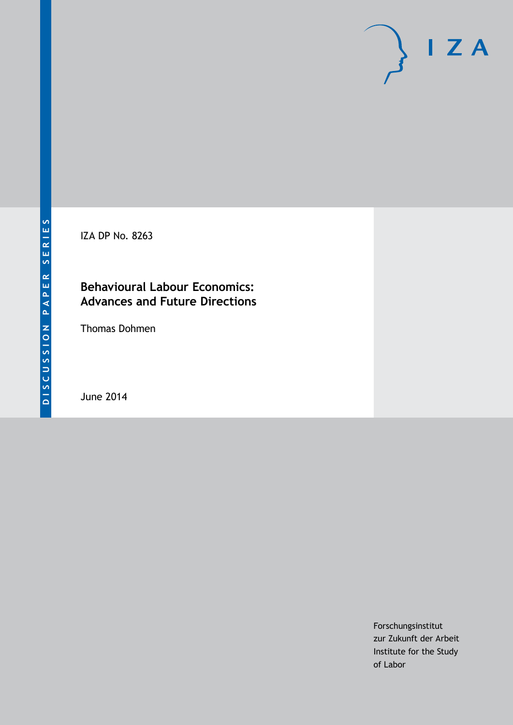IZA DP No. 8263

### **Behavioural Labour Economics: Advances and Future Directions**

Thomas Dohmen

June 2014

Forschungsinstitut zur Zukunft der Arbeit Institute for the Study of Labor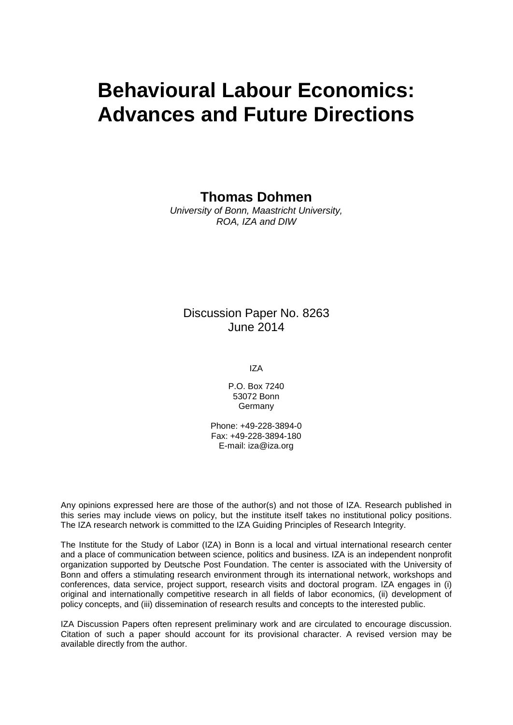# **Behavioural Labour Economics: Advances and Future Directions**

**Thomas Dohmen**

*University of Bonn, Maastricht University, ROA, IZA and DIW*

### Discussion Paper No. 8263 June 2014

IZA

P.O. Box 7240 53072 Bonn **Germany** 

Phone: +49-228-3894-0 Fax: +49-228-3894-180 E-mail: [iza@iza.org](mailto:iza@iza.org)

Any opinions expressed here are those of the author(s) and not those of IZA. Research published in this series may include views on policy, but the institute itself takes no institutional policy positions. The IZA research network is committed to the IZA Guiding Principles of Research Integrity.

The Institute for the Study of Labor (IZA) in Bonn is a local and virtual international research center and a place of communication between science, politics and business. IZA is an independent nonprofit organization supported by Deutsche Post Foundation. The center is associated with the University of Bonn and offers a stimulating research environment through its international network, workshops and conferences, data service, project support, research visits and doctoral program. IZA engages in (i) original and internationally competitive research in all fields of labor economics, (ii) development of policy concepts, and (iii) dissemination of research results and concepts to the interested public.

<span id="page-1-0"></span>IZA Discussion Papers often represent preliminary work and are circulated to encourage discussion. Citation of such a paper should account for its provisional character. A revised version may be available directly from the author.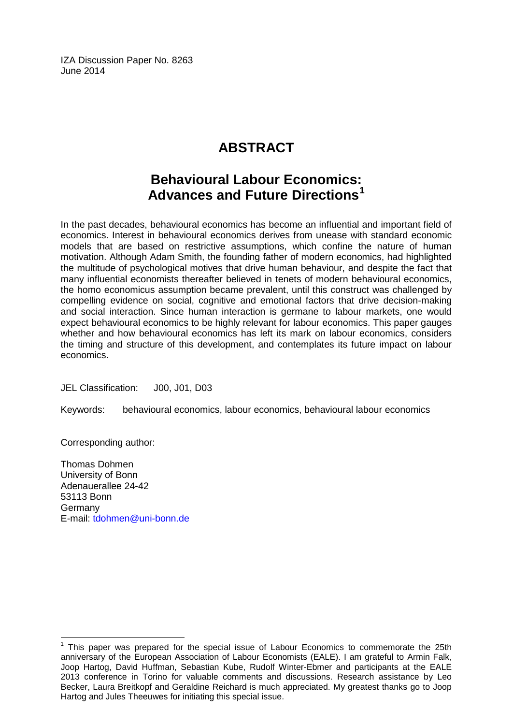IZA Discussion Paper No. 8263 June 2014

## **ABSTRACT**

### **Behavioural Labour Economics: Advances and Future Directions[1](#page-1-0)**

In the past decades, behavioural economics has become an influential and important field of economics. Interest in behavioural economics derives from unease with standard economic models that are based on restrictive assumptions, which confine the nature of human motivation. Although Adam Smith, the founding father of modern economics, had highlighted the multitude of psychological motives that drive human behaviour, and despite the fact that many influential economists thereafter believed in tenets of modern behavioural economics, the homo economicus assumption became prevalent, until this construct was challenged by compelling evidence on social, cognitive and emotional factors that drive decision-making and social interaction. Since human interaction is germane to labour markets, one would expect behavioural economics to be highly relevant for labour economics. This paper gauges whether and how behavioural economics has left its mark on labour economics, considers the timing and structure of this development, and contemplates its future impact on labour economics.

JEL Classification: J00, J01, D03

Keywords: behavioural economics, labour economics, behavioural labour economics

Corresponding author:

Thomas Dohmen University of Bonn Adenauerallee 24-42 53113 Bonn Germany E-mail: [tdohmen@uni-bonn.de](mailto:tdohmen@uni-bonn.de)

 $<sup>1</sup>$  This paper was prepared for the special issue of Labour Economics to commemorate the 25th</sup> anniversary of the European Association of Labour Economists (EALE). I am grateful to Armin Falk, Joop Hartog, David Huffman, Sebastian Kube, Rudolf Winter-Ebmer and participants at the EALE 2013 conference in Torino for valuable comments and discussions. Research assistance by Leo Becker, Laura Breitkopf and Geraldine Reichard is much appreciated. My greatest thanks go to Joop Hartog and Jules Theeuwes for initiating this special issue.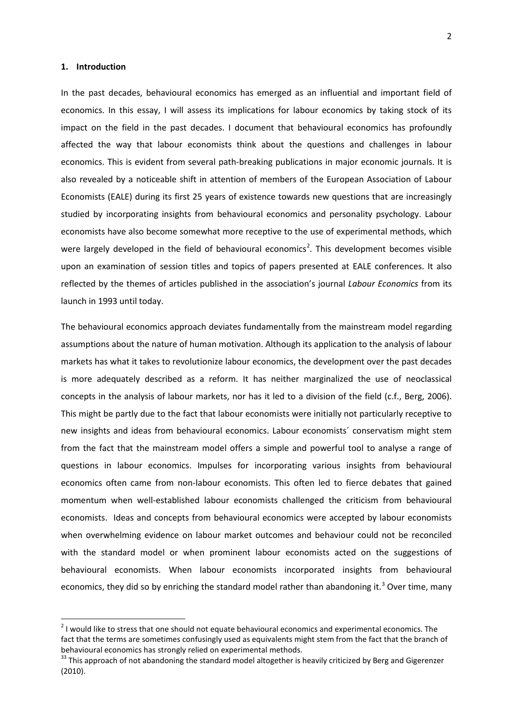#### **1. Introduction**

In the past decades, behavioural economics has emerged as an influential and important field of economics. In this essay, I will assess its implications for labour economics by taking stock of its impact on the field in the past decades. I document that behavioural economics has profoundly affected the way that labour economists think about the questions and challenges in labour economics. This is evident from several path-breaking publications in major economic journals. It is also revealed by a noticeable shift in attention of members of the European Association of Labour Economists (EALE) during its first 25 years of existence towards new questions that are increasingly studied by incorporating insights from behavioural economics and personality psychology. Labour economists have also become somewhat more receptive to the use of experimental methods, which were largely developed in the field of behavioural economics<sup>2</sup>. This development becomes visible upon an examination of session titles and topics of papers presented at EALE conferences. It also reflected by the themes of articles published in the association's journal *Labour Economics* from its launch in 1993 until today.

The behavioural economics approach deviates fundamentally from the mainstream model regarding assumptions about the nature of human motivation. Although its application to the analysis of labour markets has what it takes to revolutionize labour economics, the development over the past decades is more adequately described as a reform. It has neither marginalized the use of neoclassical concepts in the analysis of labour markets, nor has it led to a division of the field (c.f., Berg, 2006). This might be partly due to the fact that labour economists were initially not particularly receptive to new insights and ideas from behavioural economics. Labour economists´ conservatism might stem from the fact that the mainstream model offers a simple and powerful tool to analyse a range of questions in labour economics. Impulses for incorporating various insights from behavioural economics often came from non-labour economists. This often led to fierce debates that gained momentum when well-established labour economists challenged the criticism from behavioural economists. Ideas and concepts from behavioural economics were accepted by labour economists when overwhelming evidence on labour market outcomes and behaviour could not be reconciled with the standard model or when prominent labour economists acted on the suggestions of behavioural economists. When labour economists incorporated insights from behavioural economics, they did so by enriching the standard model rather than abandoning it.<sup>[3](#page-3-0)</sup> Over time, many

<span id="page-3-1"></span><sup>&</sup>lt;sup>2</sup> I would like to stress that one should not equate behavioural economics and experimental economics. The fact that the terms are sometimes confusingly used as equivalents might stem from the fact that the branch of behavioural economics has strongly relied on experimental methods.<br><sup>33</sup> This approach of not abandoning the standard model altogether is heavily criticized by Berg and Gigerenzer

<span id="page-3-0"></span><sup>(2010).</sup>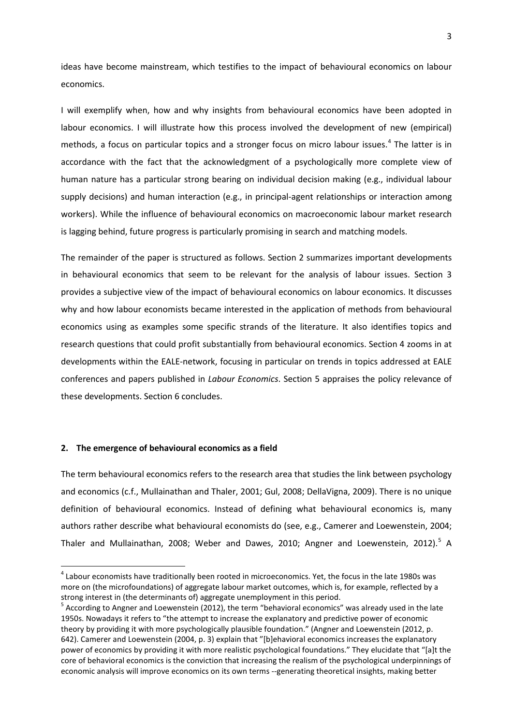ideas have become mainstream, which testifies to the impact of behavioural economics on labour economics.

I will exemplify when, how and why insights from behavioural economics have been adopted in labour economics. I will illustrate how this process involved the development of new (empirical) methods, a focus on particular topics and a stronger focus on micro labour issues. [4](#page-3-1) The latter is in accordance with the fact that the acknowledgment of a psychologically more complete view of human nature has a particular strong bearing on individual decision making (e.g., individual labour supply decisions) and human interaction (e.g., in principal-agent relationships or interaction among workers). While the influence of behavioural economics on macroeconomic labour market research is lagging behind, future progress is particularly promising in search and matching models.

The remainder of the paper is structured as follows. Section 2 summarizes important developments in behavioural economics that seem to be relevant for the analysis of labour issues. Section 3 provides a subjective view of the impact of behavioural economics on labour economics. It discusses why and how labour economists became interested in the application of methods from behavioural economics using as examples some specific strands of the literature. It also identifies topics and research questions that could profit substantially from behavioural economics. Section 4 zooms in at developments within the EALE-network, focusing in particular on trends in topics addressed at EALE conferences and papers published in *Labour Economics*. Section 5 appraises the policy relevance of these developments. Section 6 concludes.

#### **2. The emergence of behavioural economics as a field**

The term behavioural economics refers to the research area that studies the link between psychology and economics (c.f., Mullainathan and Thaler, 2001; Gul, 2008; DellaVigna, 2009). There is no unique definition of behavioural economics. Instead of defining what behavioural economics is, many authors rather describe what behavioural economists do (see, e.g., Camerer and Loewenstein, 2004; Thaler and Mullainathan, 2008; Weber and Dawes, 2010; Angner and Loewenstein, 2012).<sup>[5](#page-4-0)</sup> A

 $4$  Labour economists have traditionally been rooted in microeconomics. Yet, the focus in the late 1980s was more on (the microfoundations) of aggregate labour market outcomes, which is, for example, reflected by a strong interest in (the determinants of) aggregate unemployment in this period.

<span id="page-4-1"></span><span id="page-4-0"></span> $^5$  According to Angner and Loewenstein (2012), the term "behavioral economics" was already used in the late 1950s. Nowadays it refers to "the attempt to increase the explanatory and predictive power of economic theory by providing it with more psychologically plausible foundation." (Angner and Loewenstein (2012, p. 642). Camerer and Loewenstein (2004, p. 3) explain that "[b]ehavioral economics increases the explanatory power of economics by providing it with more realistic psychological foundations." They elucidate that "[a]t the core of behavioral economics is the conviction that increasing the realism of the psychological underpinnings of economic analysis will improve economics on its own terms --generating theoretical insights, making better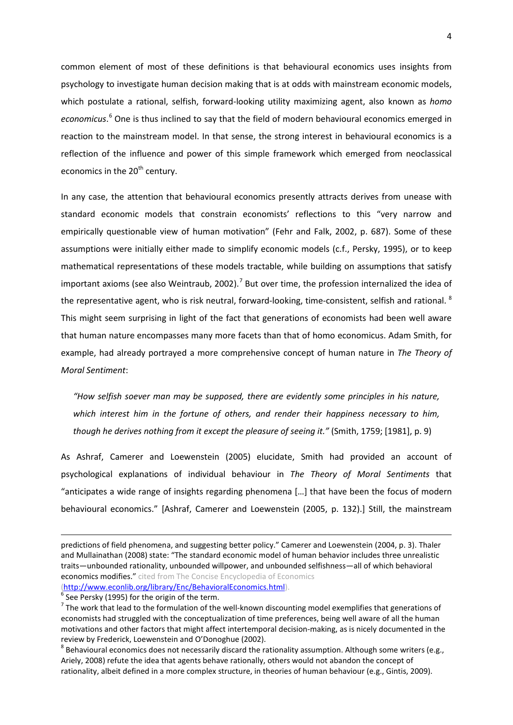common element of most of these definitions is that behavioural economics uses insights from psychology to investigate human decision making that is at odds with mainstream economic models, which postulate a rational, selfish, forward-looking utility maximizing agent, also known as *homo economicus*. [6](#page-4-1) One is thus inclined to say that the field of modern behavioural economics emerged in reaction to the mainstream model. In that sense, the strong interest in behavioural economics is a reflection of the influence and power of this simple framework which emerged from neoclassical economics in the 20<sup>th</sup> century.

In any case, the attention that behavioural economics presently attracts derives from unease with standard economic models that constrain economists' reflections to this "very narrow and empirically questionable view of human motivation" (Fehr and Falk, 2002, p. 687). Some of these assumptions were initially either made to simplify economic models (c.f., Persky, 1995), or to keep mathematical representations of these models tractable, while building on assumptions that satisfy important axioms (see also Weintraub, 2002).<sup>[7](#page-5-0)</sup> But over time, the profession internalized the idea of the representative agent, who is risk neutral, forward-looking, time-consistent, selfish and rational.  $^8$  $^8$ This might seem surprising in light of the fact that generations of economists had been well aware that human nature encompasses many more facets than that of homo economicus. Adam Smith, for example, had already portrayed a more comprehensive concept of human nature in *The Theory of Moral Sentiment*:

*"How selfish soever man may be supposed, there are evidently some principles in his nature, which interest him in the fortune of others, and render their happiness necessary to him, though he derives nothing from it except the pleasure of seeing it."* (Smith, 1759; [1981], p. 9)

As Ashraf, Camerer and Loewenstein (2005) elucidate, Smith had provided an account of psychological explanations of individual behaviour in *The Theory of Moral Sentiments* that "anticipates a wide range of insights regarding phenomena […] that have been the focus of modern behavioural economics." [Ashraf, Camerer and Loewenstein (2005, p. 132).] Still, the mainstream

 $\overline{a}$ 

<span id="page-5-2"></span>predictions of field phenomena, and suggesting better policy." Camerer and Loewenstein (2004, p. 3). Thaler and Mullainathan (2008) state: "The standard economic model of human behavior includes three unrealistic traits—unbounded rationality, unbounded willpower, and unbounded selfishness—all of which behavioral economics modifies." cited from The Concise Encyclopedia of Economics

<span id="page-5-0"></span>

[<sup>\(</sup>http://www.econlib.org/library/Enc/BehavioralEconomics.html\)](http://www.econlib.org/library/Enc/BehavioralEconomics.html).<br>  $\frac{6}{6}$  $\frac{6}{6}$  $\frac{6}{6}$  See Persky (1995) for the origin of the term.<br>
<sup>7</sup> The work that lead to the formulation of the well-known discounting model exemplifies that gener economists had struggled with the conceptualization of time preferences, being well aware of all the human motivations and other factors that might affect intertemporal decision-making, as is nicely documented in the review by Frederick, Loewenstein and O'Donoghue (2002).<br><sup>8</sup> Behavioural economics does not necessarily discard the rationality assumption. Although some writers (e.g.,

<span id="page-5-1"></span>Ariely, 2008) refute the idea that agents behave rationally, others would not abandon the concept of rationality, albeit defined in a more complex structure, in theories of human behaviour (e.g., Gintis, 2009).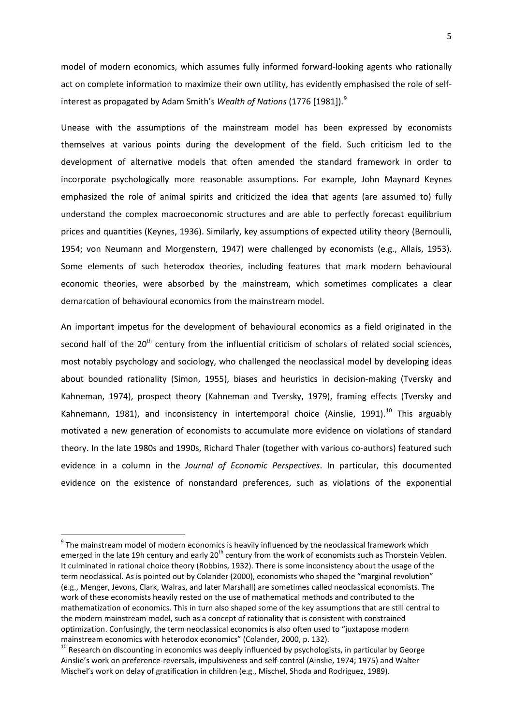model of modern economics, which assumes fully informed forward-looking agents who rationally act on complete information to maximize their own utility, has evidently emphasised the role of selfinterest as propagated by Adam Smith's *Wealth of Nations* (1776 [1981]).[9](#page-5-2)

Unease with the assumptions of the mainstream model has been expressed by economists themselves at various points during the development of the field. Such criticism led to the development of alternative models that often amended the standard framework in order to incorporate psychologically more reasonable assumptions. For example, John Maynard Keynes emphasized the role of animal spirits and criticized the idea that agents (are assumed to) fully understand the complex macroeconomic structures and are able to perfectly forecast equilibrium prices and quantities (Keynes, 1936). Similarly, key assumptions of expected utility theory (Bernoulli, 1954; von Neumann and Morgenstern, 1947) were challenged by economists (e.g., Allais, 1953). Some elements of such heterodox theories, including features that mark modern behavioural economic theories, were absorbed by the mainstream, which sometimes complicates a clear demarcation of behavioural economics from the mainstream model.

An important impetus for the development of behavioural economics as a field originated in the second half of the  $20<sup>th</sup>$  century from the influential criticism of scholars of related social sciences, most notably psychology and sociology, who challenged the neoclassical model by developing ideas about bounded rationality (Simon, 1955), biases and heuristics in decision-making (Tversky and Kahneman, 1974), prospect theory (Kahneman and Tversky, 1979), framing effects (Tversky and Kahnemann, 1981), and inconsistency in intertemporal choice (Ainslie, 1991).<sup>[10](#page-6-0)</sup> This arguably motivated a new generation of economists to accumulate more evidence on violations of standard theory. In the late 1980s and 1990s, Richard Thaler (together with various co-authors) featured such evidence in a column in the *Journal of Economic Perspectives*. In particular, this documented evidence on the existence of nonstandard preferences, such as violations of the exponential

<span id="page-6-1"></span> $9$  The mainstream model of modern economics is heavily influenced by the neoclassical framework which emerged in the late 19h century and early 20<sup>th</sup> century from the work of economists such as Thorstein Veblen. It culminated in rational choice theory (Robbins, 1932). There is some inconsistency about the usage of the term neoclassical. As is pointed out by Colander (2000), economists who shaped the "marginal revolution" (e.g., Menger, Jevons, Clark, Walras, and later Marshall) are sometimes called neoclassical economists. The work of these economists heavily rested on the use of mathematical methods and contributed to the mathematization of economics. This in turn also shaped some of the key assumptions that are still central to the modern mainstream model, such as a concept of rationality that is consistent with constrained optimization. Confusingly, the term neoclassical economics is also often used to "juxtapose modern mainstream economics with heterodox economics" (Colander, 2000, p. 132).<br><sup>10</sup> Research on discounting in economics was deeply influenced by psychologists, in particular by George

<span id="page-6-0"></span>Ainslie's work on preference-reversals, impulsiveness and self-control (Ainslie, 1974; 1975) and Walter Mischel's work on delay of gratification in children (e.g., Mischel, Shoda and Rodriguez, 1989).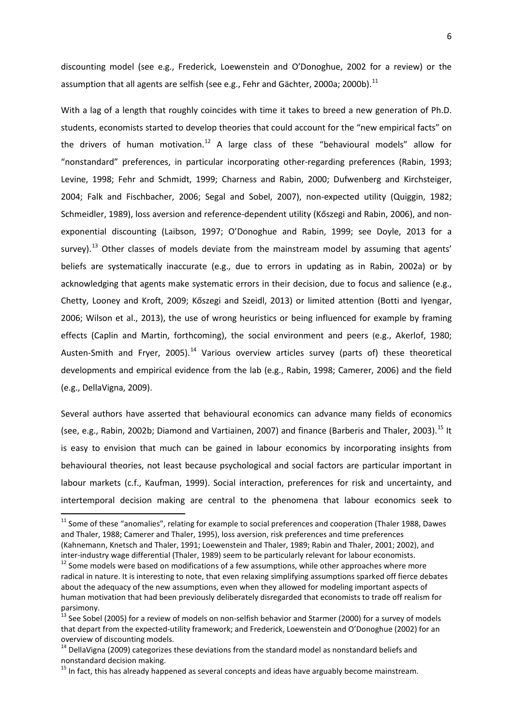discounting model (see e.g., Frederick, Loewenstein and O'Donoghue, 2002 for a review) or the assumption that all agents are selfish (see e.g., Fehr and Gächter, 2000a; 2000b).<sup>[11](#page-6-1)</sup>

With a lag of a length that roughly coincides with time it takes to breed a new generation of Ph.D. students, economists started to develop theories that could account for the "new empirical facts" on the drivers of human motivation.<sup>[12](#page-7-0)</sup> A large class of these "behavioural models" allow for "nonstandard" preferences, in particular incorporating other-regarding preferences (Rabin, 1993; Levine, 1998; Fehr and Schmidt, 1999; Charness and Rabin, 2000; Dufwenberg and Kirchsteiger, 2004; Falk and Fischbacher, 2006; Segal and Sobel, 2007), non-expected utility (Quiggin, 1982; Schmeidler, 1989), loss aversion and reference-dependent utility (Kőszegi and Rabin, 2006), and nonexponential discounting (Laibson, 1997; O'Donoghue and Rabin, 1999; see Doyle, 2013 for a survey).<sup>[13](#page-7-1)</sup> Other classes of models deviate from the mainstream model by assuming that agents' beliefs are systematically inaccurate (e.g., due to errors in updating as in Rabin, 2002a) or by acknowledging that agents make systematic errors in their decision, due to focus and salience (e.g., Chetty, Looney and Kroft, 2009; Kőszegi and Szeidl, 2013) or limited attention (Botti and Iyengar, 2006; Wilson et al., 2013), the use of wrong heuristics or being influenced for example by framing effects (Caplin and Martin, forthcoming), the social environment and peers (e.g., Akerlof, 1980; Austen-Smith and Fryer, 2005).<sup>[14](#page-7-2)</sup> Various overview articles survey (parts of) these theoretical developments and empirical evidence from the lab (e.g., Rabin, 1998; Camerer, 2006) and the field (e.g., DellaVigna, 2009).

Several authors have asserted that behavioural economics can advance many fields of economics (see, e.g., Rabin, 2002b; Diamond and Vartiainen, 2007) and finance (Barberis and Thaler, 2003).<sup>[15](#page-7-3)</sup> It is easy to envision that much can be gained in labour economics by incorporating insights from behavioural theories, not least because psychological and social factors are particular important in labour markets (c.f., Kaufman, 1999). Social interaction, preferences for risk and uncertainty, and intertemporal decision making are central to the phenomena that labour economics seek to

<sup>&</sup>lt;sup>11</sup> Some of these "anomalies", relating for example to social preferences and cooperation (Thaler 1988, Dawes and Thaler, 1988; Camerer and Thaler, 1995), loss aversion, risk preferences and time preferences (Kahnemann, Knetsch and Thaler, 1991; Loewenstein and Thaler, 1989; Rabin and Thaler, 2001; 2002), and

<span id="page-7-0"></span>inter-industry wage differential (Thaler, 1989) seem to be particularly relevant for labour economists.<br><sup>12</sup> Some models were based on modifications of a few assumptions, while other approaches where more radical in nature. It is interesting to note, that even relaxing simplifying assumptions sparked off fierce debates about the adequacy of the new assumptions, even when they allowed for modeling important aspects of human motivation that had been previously deliberately disregarded that economists to trade off realism for parsimony.

<span id="page-7-4"></span><span id="page-7-1"></span><sup>&</sup>lt;sup>13</sup> See Sobel (2005) for a review of models on non-selfish behavior and Starmer (2000) for a survey of models that depart from the expected-utility framework; and Frederick, Loewenstein and O'Donoghue (2002) for an overview of discounting models.

<span id="page-7-2"></span> $14$  DellaVigna (2009) categorizes these deviations from the standard model as nonstandard beliefs and nonstandard decision making.

<span id="page-7-3"></span><sup>&</sup>lt;sup>15</sup> In fact, this has already happened as several concepts and ideas have arguably become mainstream.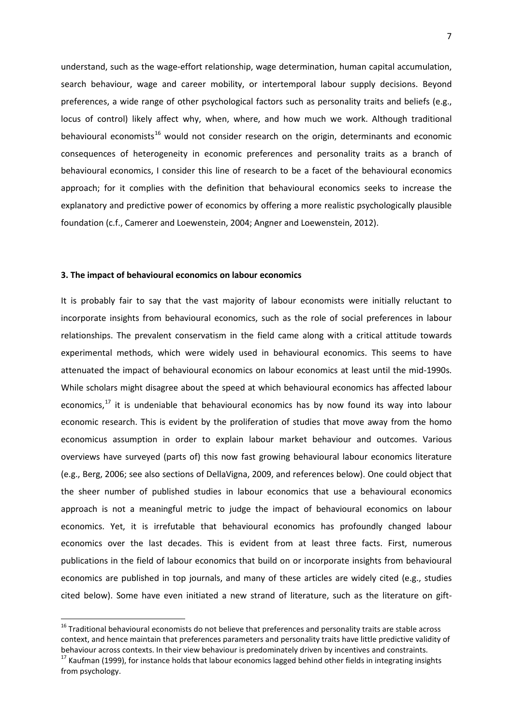understand, such as the wage-effort relationship, wage determination, human capital accumulation, search behaviour, wage and career mobility, or intertemporal labour supply decisions. Beyond preferences, a wide range of other psychological factors such as personality traits and beliefs (e.g., locus of control) likely affect why, when, where, and how much we work. Although traditional behavioural economists<sup>[16](#page-7-4)</sup> would not consider research on the origin, determinants and economic consequences of heterogeneity in economic preferences and personality traits as a branch of behavioural economics, I consider this line of research to be a facet of the behavioural economics approach; for it complies with the definition that behavioural economics seeks to increase the explanatory and predictive power of economics by offering a more realistic psychologically plausible foundation (c.f., Camerer and Loewenstein, 2004; Angner and Loewenstein, 2012).

#### **3. The impact of behavioural economics on labour economics**

It is probably fair to say that the vast majority of labour economists were initially reluctant to incorporate insights from behavioural economics, such as the role of social preferences in labour relationships. The prevalent conservatism in the field came along with a critical attitude towards experimental methods, which were widely used in behavioural economics. This seems to have attenuated the impact of behavioural economics on labour economics at least until the mid-1990s. While scholars might disagree about the speed at which behavioural economics has affected labour economics, $^{17}$  $^{17}$  $^{17}$  it is undeniable that behavioural economics has by now found its way into labour economic research. This is evident by the proliferation of studies that move away from the homo economicus assumption in order to explain labour market behaviour and outcomes. Various overviews have surveyed (parts of) this now fast growing behavioural labour economics literature (e.g., Berg, 2006; see also sections of DellaVigna, 2009, and references below). One could object that the sheer number of published studies in labour economics that use a behavioural economics approach is not a meaningful metric to judge the impact of behavioural economics on labour economics. Yet, it is irrefutable that behavioural economics has profoundly changed labour economics over the last decades. This is evident from at least three facts. First, numerous publications in the field of labour economics that build on or incorporate insights from behavioural economics are published in top journals, and many of these articles are widely cited (e.g., studies cited below). Some have even initiated a new strand of literature, such as the literature on gift-

 $16$  Traditional behavioural economists do not believe that preferences and personality traits are stable across context, and hence maintain that preferences parameters and personality traits have little predictive validity of behaviour across contexts. In their view behaviour is predominately driven by incentives and constraints.

<span id="page-8-1"></span><span id="page-8-0"></span><sup>&</sup>lt;sup>17</sup> Kaufman (1999), for instance holds that labour economics lagged behind other fields in integrating insights from psychology.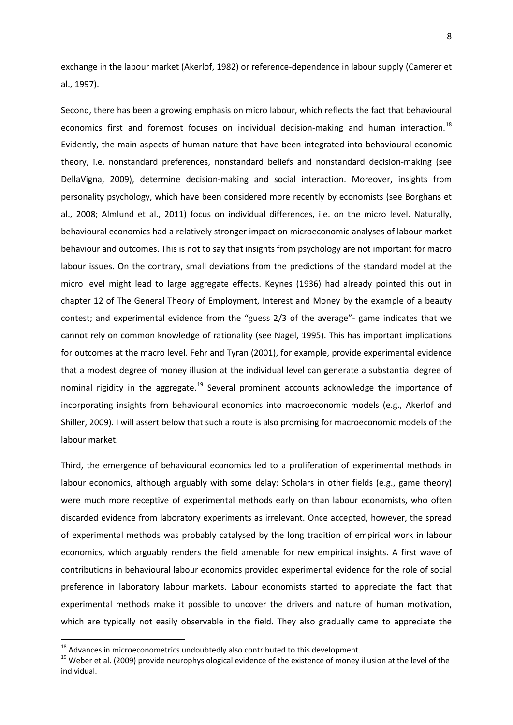exchange in the labour market (Akerlof, 1982) or reference-dependence in labour supply (Camerer et al., 1997).

Second, there has been a growing emphasis on micro labour, which reflects the fact that behavioural economics first and foremost focuses on individual decision-making and human interaction.<sup>[18](#page-8-1)</sup> Evidently, the main aspects of human nature that have been integrated into behavioural economic theory, i.e. nonstandard preferences, nonstandard beliefs and nonstandard decision-making (see DellaVigna, 2009), determine decision-making and social interaction. Moreover, insights from personality psychology, which have been considered more recently by economists (see Borghans et al., 2008; Almlund et al., 2011) focus on individual differences, i.e. on the micro level. Naturally, behavioural economics had a relatively stronger impact on microeconomic analyses of labour market behaviour and outcomes. This is not to say that insights from psychology are not important for macro labour issues. On the contrary, small deviations from the predictions of the standard model at the micro level might lead to large aggregate effects. Keynes (1936) had already pointed this out in chapter 12 of [The General Theory of Employment, Interest and Money](http://en.wikipedia.org/wiki/The_General_Theory_of_Employment,_Interest_and_Money) by the example of a beauty contest; and experimental evidence from the "guess 2/3 of the average"- game indicates that we cannot rely on common knowledge of rationality (see Nagel, 1995). This has important implications for outcomes at the macro level. Fehr and Tyran (2001), for example, provide experimental evidence that a modest degree of money illusion at the individual level can generate a substantial degree of nominal rigidity in the aggregate.<sup>[19](#page-9-0)</sup> Several prominent accounts acknowledge the importance of incorporating insights from behavioural economics into macroeconomic models (e.g., Akerlof and Shiller, 2009). I will assert below that such a route is also promising for macroeconomic models of the labour market.

Third, the emergence of behavioural economics led to a proliferation of experimental methods in labour economics, although arguably with some delay: Scholars in other fields (e.g., game theory) were much more receptive of experimental methods early on than labour economists, who often discarded evidence from laboratory experiments as irrelevant. Once accepted, however, the spread of experimental methods was probably catalysed by the long tradition of empirical work in labour economics, which arguably renders the field amenable for new empirical insights. A first wave of contributions in behavioural labour economics provided experimental evidence for the role of social preference in laboratory labour markets. Labour economists started to appreciate the fact that experimental methods make it possible to uncover the drivers and nature of human motivation, which are typically not easily observable in the field. They also gradually came to appreciate the

<span id="page-9-1"></span><span id="page-9-0"></span><sup>&</sup>lt;sup>18</sup> Advances in microeconometrics undoubtedly also contributed to this development.<br><sup>19</sup> Weber et al. (2009) provide neurophysiological evidence of the existence of money illusion at the level of the individual.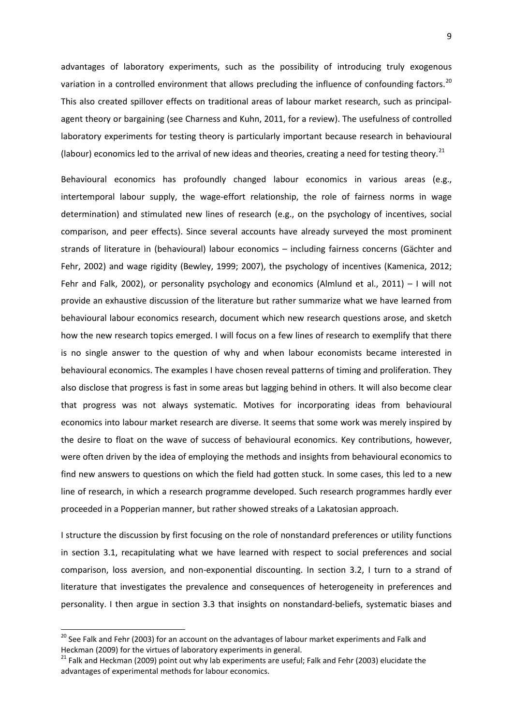advantages of laboratory experiments, such as the possibility of introducing truly exogenous variation in a controlled environment that allows precluding the influence of confounding factors.<sup>[20](#page-9-1)</sup> This also created spillover effects on traditional areas of labour market research, such as principalagent theory or bargaining (see Charness and Kuhn, 2011, for a review). The usefulness of controlled laboratory experiments for testing theory is particularly important because research in behavioural (labour) economics led to the arrival of new ideas and theories, creating a need for testing theory.<sup>[21](#page-10-0)</sup>

Behavioural economics has profoundly changed labour economics in various areas (e.g., intertemporal labour supply, the wage-effort relationship, the role of fairness norms in wage determination) and stimulated new lines of research (e.g., on the psychology of incentives, social comparison, and peer effects). Since several accounts have already surveyed the most prominent strands of literature in (behavioural) labour economics – including fairness concerns (Gächter and Fehr, 2002) and wage rigidity (Bewley, 1999; 2007), the psychology of incentives (Kamenica, 2012; Fehr and Falk, 2002), or personality psychology and economics (Almlund et al., 2011) – I will not provide an exhaustive discussion of the literature but rather summarize what we have learned from behavioural labour economics research, document which new research questions arose, and sketch how the new research topics emerged. I will focus on a few lines of research to exemplify that there is no single answer to the question of why and when labour economists became interested in behavioural economics. The examples I have chosen reveal patterns of timing and proliferation. They also disclose that progress is fast in some areas but lagging behind in others. It will also become clear that progress was not always systematic. Motives for incorporating ideas from behavioural economics into labour market research are diverse. It seems that some work was merely inspired by the desire to float on the wave of success of behavioural economics. Key contributions, however, were often driven by the idea of employing the methods and insights from behavioural economics to find new answers to questions on which the field had gotten stuck. In some cases, this led to a new line of research, in which a research programme developed. Such research programmes hardly ever proceeded in a Popperian manner, but rather showed streaks of a Lakatosian approach.

<span id="page-10-1"></span>I structure the discussion by first focusing on the role of nonstandard preferences or utility functions in section 3.1, recapitulating what we have learned with respect to social preferences and social comparison, loss aversion, and non-exponential discounting. In section 3.2, I turn to a strand of literature that investigates the prevalence and consequences of heterogeneity in preferences and personality. I then argue in section 3.3 that insights on nonstandard-beliefs, systematic biases and

<sup>&</sup>lt;sup>20</sup> See Falk and Fehr (2003) for an account on the advantages of labour market experiments and Falk and Heckman (2009) for the virtues of laboratory experiments in general.

<span id="page-10-0"></span><sup>&</sup>lt;sup>21</sup> Falk and Heckman (2009) point out why lab experiments are useful; Falk and Fehr (2003) elucidate the advantages of experimental methods for labour economics.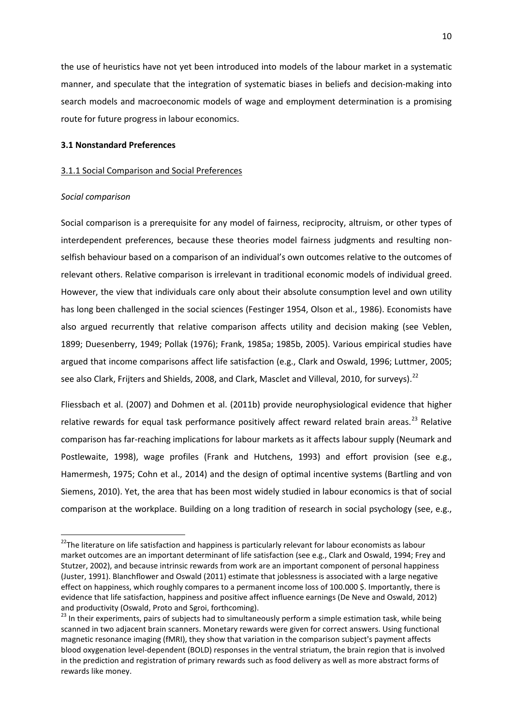the use of heuristics have not yet been introduced into models of the labour market in a systematic manner, and speculate that the integration of systematic biases in beliefs and decision-making into search models and macroeconomic models of wage and employment determination is a promising route for future progress in labour economics.

#### **3.1 Nonstandard Preferences**

#### 3.1.1 Social Comparison and Social Preferences

#### *Social comparison*

Social comparison is a prerequisite for any model of fairness, reciprocity, altruism, or other types of interdependent preferences, because these theories model fairness judgments and resulting nonselfish behaviour based on a comparison of an individual's own outcomes relative to the outcomes of relevant others. Relative comparison is irrelevant in traditional economic models of individual greed. However, the view that individuals care only about their absolute consumption level and own utility has long been challenged in the social sciences (Festinger 1954, Olson et al., 1986). Economists have also argued recurrently that relative comparison affects utility and decision making (see Veblen, 1899; Duesenberry, 1949; Pollak (1976); Frank, 1985a; 1985b, 2005). Various empirical studies have argued that income comparisons affect life satisfaction (e.g., Clark and Oswald, 1996; Luttmer, 2005; see also Clark, Frijters and Shields, 2008, and Clark, Masclet and Villeval, 2010, for surveys).<sup>[22](#page-10-1)</sup>

Fliessbach et al. (2007) and Dohmen et al. (2011b) provide neurophysiological evidence that higher relative rewards for equal task performance positively affect reward related brain areas.<sup>[23](#page-11-0)</sup> Relative comparison has far-reaching implications for labour markets as it affects labour supply (Neumark and Postlewaite, 1998), wage profiles (Frank and Hutchens, 1993) and effort provision (see e.g., Hamermesh, 1975; Cohn et al., 2014) and the design of optimal incentive systems (Bartling and von Siemens, 2010). Yet, the area that has been most widely studied in labour economics is that of social comparison at the workplace. Building on a long tradition of research in social psychology (see, e.g.,

<sup>&</sup>lt;sup>22</sup>The literature on life satisfaction and happiness is particularly relevant for labour economists as labour market outcomes are an important determinant of life satisfaction (see e.g., Clark and Oswald, 1994; Frey and Stutzer, 2002), and because intrinsic rewards from work are an important component of personal happiness (Juster, 1991). Blanchflower and Oswald (2011) estimate that joblessness is associated with a large negative effect on happiness, which roughly compares to a permanent income loss of 100.000 \$. Importantly, there is evidence that life satisfaction, happiness and positive affect influence earnings (De Neve and Oswald, 2012) and productivity (Oswald, Proto and Sgroi, forthcoming).<br><sup>23</sup> In their experiments, pairs of subjects had to simultaneously perform a simple estimation task, while being

<span id="page-11-1"></span><span id="page-11-0"></span>scanned in two adjacent brain scanners. Monetary rewards were given for correct answers. Using functional magnetic resonance imaging (fMRI), they show that variation in the comparison subject's payment affects blood oxygenation level-dependent (BOLD) responses in the ventral striatum, the brain region that is involved in the prediction and registration of primary rewards such as food delivery as well as more abstract forms of rewards like money.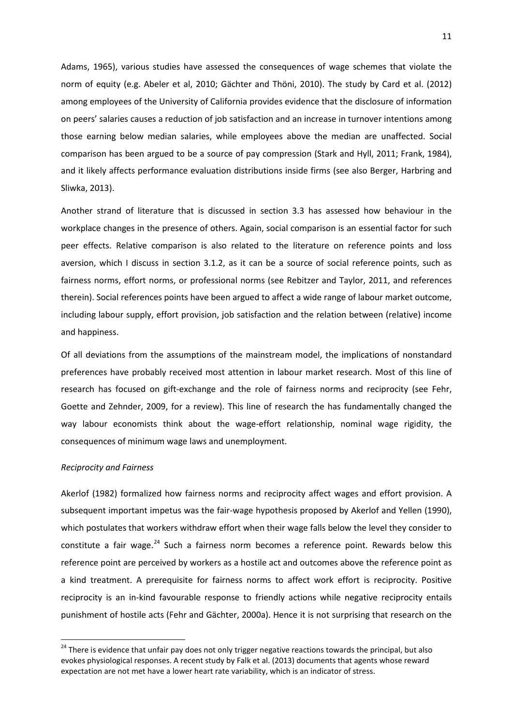Adams, 1965), various studies have assessed the consequences of wage schemes that violate the norm of equity (e.g. Abeler et al, 2010; Gächter and Thöni, 2010). The study by Card et al. (2012) among employees of the University of California provides evidence that the disclosure of information on peers' salaries causes a reduction of job satisfaction and an increase in turnover intentions among those earning below median salaries, while employees above the median are unaffected. Social comparison has been argued to be a source of pay compression (Stark and Hyll, 2011; Frank, 1984), and it likely affects performance evaluation distributions inside firms (see also Berger, Harbring and Sliwka, 2013).

Another strand of literature that is discussed in section 3.3 has assessed how behaviour in the workplace changes in the presence of others. Again, social comparison is an essential factor for such peer effects. Relative comparison is also related to the literature on reference points and loss aversion, which I discuss in section 3.1.2, as it can be a source of social reference points, such as fairness norms, effort norms, or professional norms (see Rebitzer and Taylor, 2011, and references therein). Social references points have been argued to affect a wide range of labour market outcome, including labour supply, effort provision, job satisfaction and the relation between (relative) income and happiness.

Of all deviations from the assumptions of the mainstream model, the implications of nonstandard preferences have probably received most attention in labour market research. Most of this line of research has focused on gift-exchange and the role of fairness norms and reciprocity (see Fehr, Goette and Zehnder, 2009, for a review). This line of research the has fundamentally changed the way labour economists think about the wage-effort relationship, nominal wage rigidity, the consequences of minimum wage laws and unemployment.

#### *Reciprocity and Fairness*

Akerlof (1982) formalized how fairness norms and reciprocity affect wages and effort provision. A subsequent important impetus was the fair-wage hypothesis proposed by Akerlof and Yellen (1990), which postulates that workers withdraw effort when their wage falls below the level they consider to constitute a fair wage.<sup>[24](#page-11-1)</sup> Such a fairness norm becomes a reference point. Rewards below this reference point are perceived by workers as a hostile act and outcomes above the reference point as a kind treatment. A prerequisite for fairness norms to affect work effort is reciprocity. Positive reciprocity is an in-kind favourable response to friendly actions while negative reciprocity entails punishment of hostile acts (Fehr and Gächter, 2000a). Hence it is not surprising that research on the

<span id="page-12-0"></span><sup>&</sup>lt;sup>24</sup> There is evidence that unfair pay does not only trigger negative reactions towards the principal, but also evokes physiological responses. A recent study by Falk et al. (2013) documents that agents whose reward expectation are not met have a lower heart rate variability, which is an indicator of stress.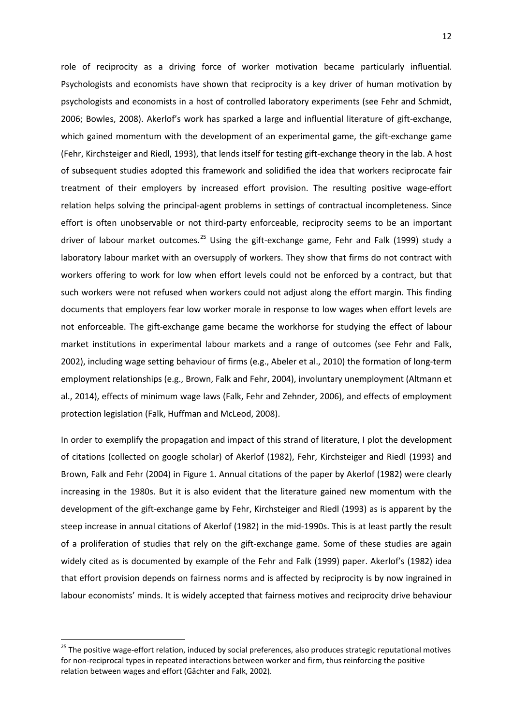role of reciprocity as a driving force of worker motivation became particularly influential. Psychologists and economists have shown that reciprocity is a key driver of human motivation by psychologists and economists in a host of controlled laboratory experiments (see Fehr and Schmidt, 2006; Bowles, 2008). Akerlof's work has sparked a large and influential literature of gift-exchange, which gained momentum with the development of an experimental game, the gift-exchange game (Fehr, Kirchsteiger and Riedl, 1993), that lends itself for testing gift-exchange theory in the lab. A host of subsequent studies adopted this framework and solidified the idea that workers reciprocate fair treatment of their employers by increased effort provision. The resulting positive wage-effort relation helps solving the principal-agent problems in settings of contractual incompleteness. Since effort is often unobservable or not third-party enforceable, reciprocity seems to be an important driver of labour market outcomes.<sup>[25](#page-12-0)</sup> Using the gift-exchange game, Fehr and Falk (1999) study a laboratory labour market with an oversupply of workers. They show that firms do not contract with workers offering to work for low when effort levels could not be enforced by a contract, but that such workers were not refused when workers could not adjust along the effort margin. This finding documents that employers fear low worker morale in response to low wages when effort levels are not enforceable. The gift-exchange game became the workhorse for studying the effect of labour market institutions in experimental labour markets and a range of outcomes (see Fehr and Falk, 2002), including wage setting behaviour of firms (e.g., Abeler et al., 2010) the formation of long-term employment relationships (e.g., Brown, Falk and Fehr, 2004), involuntary unemployment (Altmann et al., 2014), effects of minimum wage laws (Falk, Fehr and Zehnder, 2006), and effects of employment protection legislation (Falk, Huffman and McLeod, 2008).

In order to exemplify the propagation and impact of this strand of literature, I plot the development of citations (collected on google scholar) of Akerlof (1982), Fehr, Kirchsteiger and Riedl (1993) and Brown, Falk and Fehr (2004) in Figure 1. Annual citations of the paper by Akerlof (1982) were clearly increasing in the 1980s. But it is also evident that the literature gained new momentum with the development of the gift-exchange game by Fehr, Kirchsteiger and Riedl (1993) as is apparent by the steep increase in annual citations of Akerlof (1982) in the mid-1990s. This is at least partly the result of a proliferation of studies that rely on the gift-exchange game. Some of these studies are again widely cited as is documented by example of the Fehr and Falk (1999) paper. Akerlof's (1982) idea that effort provision depends on fairness norms and is affected by reciprocity is by now ingrained in labour economists' minds. It is widely accepted that fairness motives and reciprocity drive behaviour

<span id="page-13-0"></span><sup>&</sup>lt;sup>25</sup> The positive wage-effort relation, induced by social preferences, also produces strategic reputational motives for non-reciprocal types in repeated interactions between worker and firm, thus reinforcing the positive relation between wages and effort (Gächter and Falk, 2002).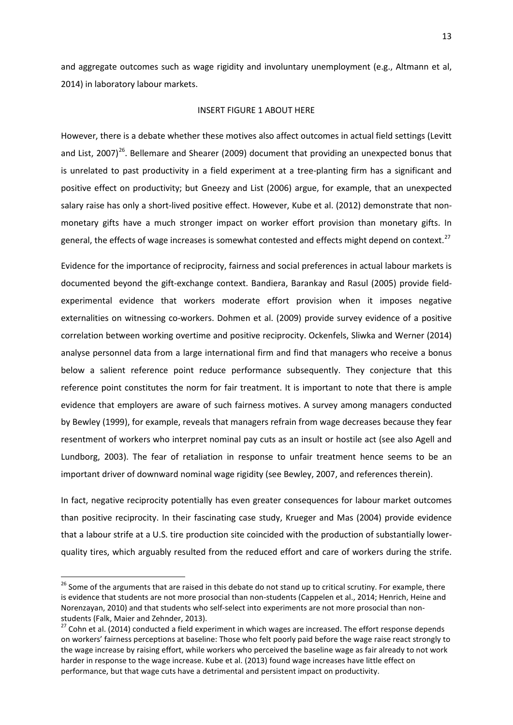and aggregate outcomes such as wage rigidity and involuntary unemployment (e.g., Altmann et al, 2014) in laboratory labour markets.

#### INSERT FIGURE 1 ABOUT HERE

However, there is a debate whether these motives also affect outcomes in actual field settings (Levitt and List, 2007)<sup>26</sup>. Bellemare and Shearer (2009) document that providing an unexpected bonus that is unrelated to past productivity in a field experiment at a tree-planting firm has a significant and positive effect on productivity; but Gneezy and List (2006) argue, for example, that an unexpected salary raise has only a short-lived positive effect. However, Kube et al. (2012) demonstrate that nonmonetary gifts have a much stronger impact on worker effort provision than monetary gifts. In general, the effects of wage increases is somewhat contested and effects might depend on context.<sup>[27](#page-14-0)</sup>

Evidence for the importance of reciprocity, fairness and social preferences in actual labour markets is documented beyond the gift-exchange context. Bandiera, Barankay and Rasul (2005) provide fieldexperimental evidence that workers moderate effort provision when it imposes negative externalities on witnessing co-workers. Dohmen et al. (2009) provide survey evidence of a positive correlation between working overtime and positive reciprocity. Ockenfels, Sliwka and Werner (2014) analyse personnel data from a large international firm and find that managers who receive a bonus below a salient reference point reduce performance subsequently. They conjecture that this reference point constitutes the norm for fair treatment. It is important to note that there is ample evidence that employers are aware of such fairness motives. A survey among managers conducted by Bewley (1999), for example, reveals that managers refrain from wage decreases because they fear resentment of workers who interpret nominal pay cuts as an insult or hostile act (see also Agell and Lundborg, 2003). The fear of retaliation in response to unfair treatment hence seems to be an important driver of downward nominal wage rigidity (see Bewley, 2007, and references therein).

<span id="page-14-1"></span>In fact, negative reciprocity potentially has even greater consequences for labour market outcomes than positive reciprocity. In their fascinating case study, Krueger and Mas (2004) provide evidence that a labour strife at a U.S. tire production site coincided with the production of substantially lowerquality tires, which arguably resulted from the reduced effort and care of workers during the strife.

<sup>&</sup>lt;sup>26</sup> Some of the arguments that are raised in this debate do not stand up to critical scrutiny. For example, there is evidence that students are not more prosocial than non-students (Cappelen et al., 2014; Henrich, Heine and Norenzayan, 2010) and that students who self-select into experiments are not more prosocial than nonstudents (Falk, Maier and Zehnder, 2013).

<span id="page-14-0"></span><sup>&</sup>lt;sup>27</sup> Cohn et al. (2014) conducted a field experiment in which wages are increased. The effort response depends on workers' fairness perceptions at baseline: Those who felt poorly paid before the wage raise react strongly to the wage increase by raising effort, while workers who perceived the baseline wage as fair already to not work harder in response to the wage increase. Kube et al. (2013) found wage increases have little effect on performance, but that wage cuts have a detrimental and persistent impact on productivity.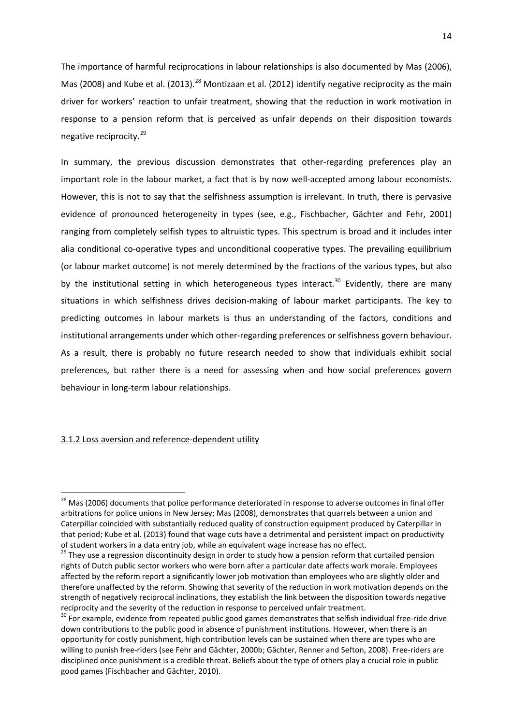The importance of harmful reciprocations in labour relationships is also documented by Mas (2006), Mas (2008) and Kube et al. (2013).<sup>[28](#page-14-1)</sup> Montizaan et al. (2012) identify negative reciprocity as the main driver for workers' reaction to unfair treatment, showing that the reduction in work motivation in response to a pension reform that is perceived as unfair depends on their disposition towards negative reciprocity.[29](#page-15-0)

In summary, the previous discussion demonstrates that other-regarding preferences play an important role in the labour market, a fact that is by now well-accepted among labour economists. However, this is not to say that the selfishness assumption is irrelevant. In truth, there is pervasive evidence of pronounced heterogeneity in types (see, e.g., Fischbacher, Gächter and Fehr, 2001) ranging from completely selfish types to altruistic types. This spectrum is broad and it includes inter alia conditional co-operative types and unconditional cooperative types. The prevailing equilibrium (or labour market outcome) is not merely determined by the fractions of the various types, but also by the institutional setting in which heterogeneous types interact.<sup>[30](#page-15-1)</sup> Evidently, there are many situations in which selfishness drives decision-making of labour market participants. The key to predicting outcomes in labour markets is thus an understanding of the factors, conditions and institutional arrangements under which other-regarding preferences or selfishness govern behaviour. As a result, there is probably no future research needed to show that individuals exhibit social preferences, but rather there is a need for assessing when and how social preferences govern behaviour in long-term labour relationships.

#### 3.1.2 Loss aversion and reference-dependent utility

<sup>&</sup>lt;sup>28</sup> Mas (2006) documents that police performance deteriorated in response to adverse outcomes in final offer arbitrations for police unions in New Jersey; Mas (2008), demonstrates that quarrels between a union and Caterpillar coincided with substantially reduced quality of construction equipment produced by Caterpillar in that period; Kube et al. (2013) found that wage cuts have a detrimental and persistent impact on productivity of student workers in a data entry job, while an equivalent wage increase has no effect.

<span id="page-15-0"></span><sup>&</sup>lt;sup>29</sup> They use a regression discontinuity design in order to study how a pension reform that curtailed pension rights of Dutch public sector workers who were born after a particular date affects work morale. Employees affected by the reform report a significantly lower job motivation than employees who are slightly older and therefore unaffected by the reform. Showing that severity of the reduction in work motivation depends on the strength of negatively reciprocal inclinations, they establish the link between the disposition towards negative reciprocity and the severity of the reduction in response to perceived unfair treatment.<br><sup>30</sup> For example, evidence from repeated public good games demonstrates that selfish individual free-ride drive

<span id="page-15-2"></span><span id="page-15-1"></span>down contributions to the public good in absence of punishment institutions. However, when there is an opportunity for costly punishment, high contribution levels can be sustained when there are types who are willing to punish free-riders (see Fehr and Gächter, 2000b; Gächter, Renner and Sefton, 2008). Free-riders are disciplined once punishment is a credible threat. Beliefs about the type of others play a crucial role in public good games (Fischbacher and Gächter, 2010).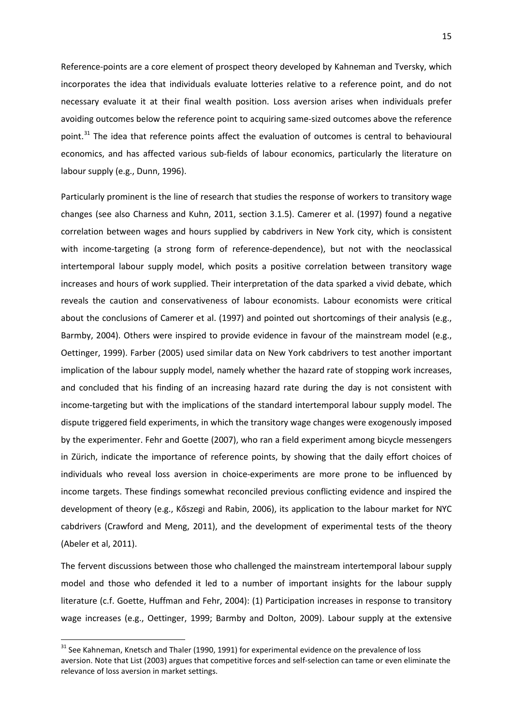Reference-points are a core element of prospect theory developed by Kahneman and Tversky, which incorporates the idea that individuals evaluate lotteries relative to a reference point, and do not necessary evaluate it at their final wealth position. Loss aversion arises when individuals prefer avoiding outcomes below the reference point to acquiring same-sized outcomes above the reference point.<sup>[31](#page-15-2)</sup> The idea that reference points affect the evaluation of outcomes is central to behavioural economics, and has affected various sub-fields of labour economics, particularly the literature on labour supply (e.g., Dunn, 1996).

Particularly prominent is the line of research that studies the response of workers to transitory wage changes (see also Charness and Kuhn, 2011, section 3.1.5). Camerer et al. (1997) found a negative correlation between wages and hours supplied by cabdrivers in New York city, which is consistent with income-targeting (a strong form of reference-dependence), but not with the neoclassical intertemporal labour supply model, which posits a positive correlation between transitory wage increases and hours of work supplied. Their interpretation of the data sparked a vivid debate, which reveals the caution and conservativeness of labour economists. Labour economists were critical about the conclusions of Camerer et al. (1997) and pointed out shortcomings of their analysis (e.g., Barmby, 2004). Others were inspired to provide evidence in favour of the mainstream model (e.g., Oettinger, 1999). Farber (2005) used similar data on New York cabdrivers to test another important implication of the labour supply model, namely whether the hazard rate of stopping work increases, and concluded that his finding of an increasing hazard rate during the day is not consistent with income-targeting but with the implications of the standard intertemporal labour supply model. The dispute triggered field experiments, in which the transitory wage changes were exogenously imposed by the experimenter. Fehr and Goette (2007), who ran a field experiment among bicycle messengers in Zürich, indicate the importance of reference points, by showing that the daily effort choices of individuals who reveal loss aversion in choice-experiments are more prone to be influenced by income targets. These findings somewhat reconciled previous conflicting evidence and inspired the development of theory (e.g., Kőszegi and Rabin, 2006), its application to the labour market for NYC cabdrivers (Crawford and Meng, 2011), and the development of experimental tests of the theory (Abeler et al, 2011).

The fervent discussions between those who challenged the mainstream intertemporal labour supply model and those who defended it led to a number of important insights for the labour supply literature (c.f. Goette, Huffman and Fehr, 2004): (1) Participation increases in response to transitory wage increases (e.g., Oettinger, 1999; Barmby and Dolton, 2009). Labour supply at the extensive

<span id="page-16-0"></span> $31$  See Kahneman, Knetsch and Thaler (1990, 1991) for experimental evidence on the prevalence of loss aversion. Note that List (2003) argues that competitive forces and self-selection can tame or even eliminate the relevance of loss aversion in market settings.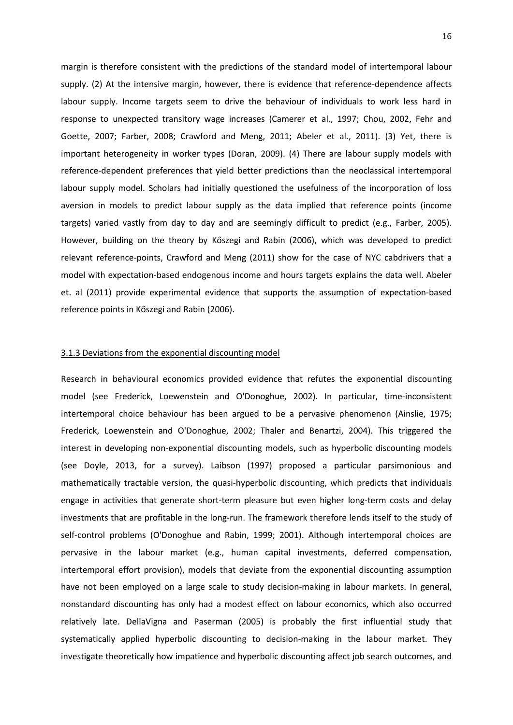margin is therefore consistent with the predictions of the standard model of intertemporal labour supply. (2) At the intensive margin, however, there is evidence that reference-dependence affects labour supply. Income targets seem to drive the behaviour of individuals to work less hard in response to unexpected transitory wage increases (Camerer et al., 1997; Chou, 2002, Fehr and Goette, 2007; Farber, 2008; Crawford and Meng, 2011; Abeler et al., 2011). (3) Yet, there is important heterogeneity in worker types (Doran, 2009). (4) There are labour supply models with reference-dependent preferences that yield better predictions than the neoclassical intertemporal labour supply model. Scholars had initially questioned the usefulness of the incorporation of loss aversion in models to predict labour supply as the data implied that reference points (income targets) varied vastly from day to day and are seemingly difficult to predict (e.g., Farber, 2005). However, building on the theory by Kőszegi and Rabin (2006), which was developed to predict relevant reference-points, Crawford and Meng (2011) show for the case of NYC cabdrivers that a model with expectation-based endogenous income and hours targets explains the data well. Abeler et. al (2011) provide experimental evidence that supports the assumption of expectation-based reference points in Kőszegi and Rabin (2006).

#### 3.1.3 Deviations from the exponential discounting model

Research in behavioural economics provided evidence that refutes the exponential discounting model (see Frederick, Loewenstein and O'Donoghue, 2002). In particular, time-inconsistent intertemporal choice behaviour has been argued to be a pervasive phenomenon (Ainslie, 1975; Frederick, Loewenstein and O'Donoghue, 2002; Thaler and Benartzi, 2004). This triggered the interest in developing non-exponential discounting models, such as hyperbolic discounting models (see Doyle, 2013, for a survey). Laibson (1997) proposed a particular parsimonious and mathematically tractable version, the quasi-hyperbolic discounting, which predicts that individuals engage in activities that generate short-term pleasure but even higher long-term costs and delay investments that are profitable in the long-run. The framework therefore lends itself to the study of self-control problems (O'Donoghue and Rabin, 1999; 2001). Although intertemporal choices are pervasive in the labour market (e.g., human capital investments, deferred compensation, intertemporal effort provision), models that deviate from the exponential discounting assumption have not been employed on a large scale to study decision-making in labour markets. In general, nonstandard discounting has only had a modest effect on labour economics, which also occurred relatively late. DellaVigna and Paserman (2005) is probably the first influential study that systematically applied hyperbolic discounting to decision-making in the labour market. They investigate theoretically how impatience and hyperbolic discounting affect job search outcomes, and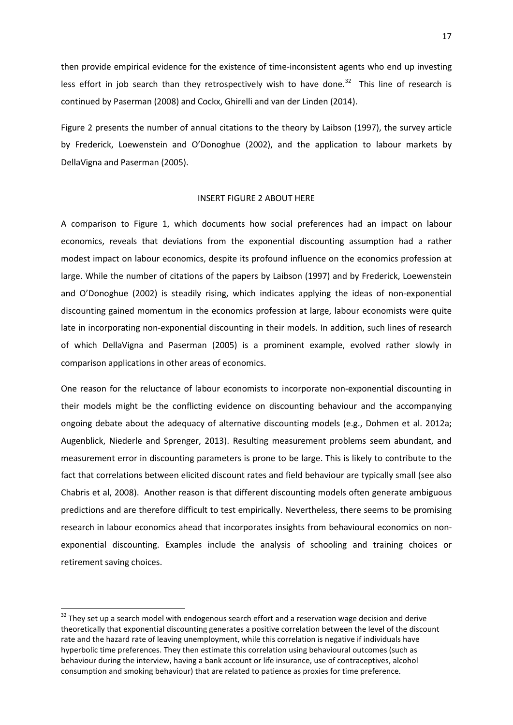then provide empirical evidence for the existence of time-inconsistent agents who end up investing less effort in job search than they retrospectively wish to have done.<sup>[32](#page-16-0)</sup> This line of research is continued by Paserman (2008) and Cockx, Ghirelli and van der Linden (2014).

Figure 2 presents the number of annual citations to the theory by Laibson (1997), the survey article by Frederick, Loewenstein and O'Donoghue (2002), and the application to labour markets by DellaVigna and Paserman (2005).

#### INSERT FIGURE 2 ABOUT HERE

A comparison to Figure 1, which documents how social preferences had an impact on labour economics, reveals that deviations from the exponential discounting assumption had a rather modest impact on labour economics, despite its profound influence on the economics profession at large. While the number of citations of the papers by Laibson (1997) and by Frederick, Loewenstein and O'Donoghue (2002) is steadily rising, which indicates applying the ideas of non-exponential discounting gained momentum in the economics profession at large, labour economists were quite late in incorporating non-exponential discounting in their models. In addition, such lines of research of which DellaVigna and Paserman (2005) is a prominent example, evolved rather slowly in comparison applications in other areas of economics.

One reason for the reluctance of labour economists to incorporate non-exponential discounting in their models might be the conflicting evidence on discounting behaviour and the accompanying ongoing debate about the adequacy of alternative discounting models (e.g., Dohmen et al. 2012a; Augenblick, Niederle and Sprenger, 2013). Resulting measurement problems seem abundant, and measurement error in discounting parameters is prone to be large. This is likely to contribute to the fact that correlations between elicited discount rates and field behaviour are typically small (see also Chabris et al, 2008). Another reason is that different discounting models often generate ambiguous predictions and are therefore difficult to test empirically. Nevertheless, there seems to be promising research in labour economics ahead that incorporates insights from behavioural economics on nonexponential discounting. Examples include the analysis of schooling and training choices or retirement saving choices.

<span id="page-18-0"></span> $32$  They set up a search model with endogenous search effort and a reservation wage decision and derive theoretically that exponential discounting generates a positive correlation between the level of the discount rate and the hazard rate of leaving unemployment, while this correlation is negative if individuals have hyperbolic time preferences. They then estimate this correlation using behavioural outcomes (such as behaviour during the interview, having a bank account or life insurance, use of contraceptives, alcohol consumption and smoking behaviour) that are related to patience as proxies for time preference.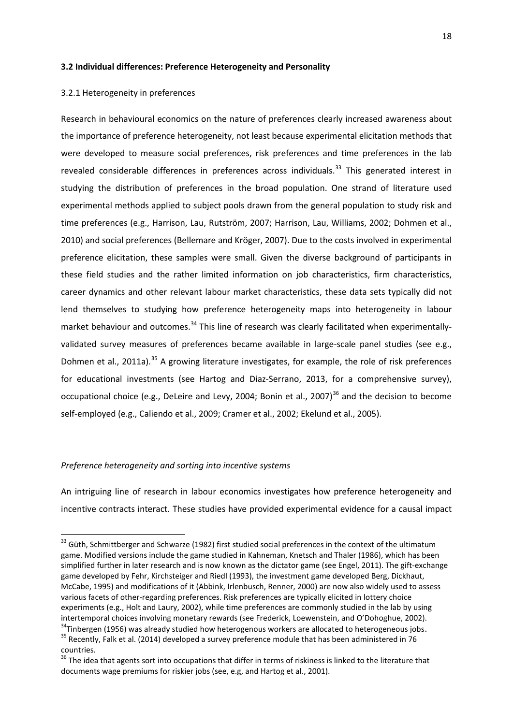#### **3.2 Individual differences: Preference Heterogeneity and Personality**

#### 3.2.1 Heterogeneity in preferences

Research in behavioural economics on the nature of preferences clearly increased awareness about the importance of preference heterogeneity, not least because experimental elicitation methods that were developed to measure social preferences, risk preferences and time preferences in the lab revealed considerable differences in preferences across individuals.<sup>[33](#page-18-0)</sup> This generated interest in studying the distribution of preferences in the broad population. One strand of literature used experimental methods applied to subject pools drawn from the general population to study risk and time preferences (e.g., Harrison, Lau, Rutström, 2007; Harrison, Lau, Williams, 2002; Dohmen et al., 2010) and social preferences (Bellemare and Kröger, 2007). Due to the costs involved in experimental preference elicitation, these samples were small. Given the diverse background of participants in these field studies and the rather limited information on job characteristics, firm characteristics, career dynamics and other relevant labour market characteristics, these data sets typically did not lend themselves to studying how preference heterogeneity maps into heterogeneity in labour market behaviour and outcomes.<sup>[34](#page-19-0)</sup> This line of research was clearly facilitated when experimentallyvalidated survey measures of preferences became available in large-scale panel studies (see e.g., Dohmen et al., 2011a).<sup>[35](#page-19-1)</sup> A growing literature investigates, for example, the role of risk preferences for educational investments (see Hartog and Diaz-Serrano, 2013, for a comprehensive survey), occupational choice (e.g., DeLeire and Levy, 2004; Bonin et al., 2007)<sup>[36](#page-19-2)</sup> and the decision to become self-employed (e.g., Caliendo et al., 2009; Cramer et al., 2002; Ekelund et al., 2005).

#### *Preference heterogeneity and sorting into incentive systems*

An intriguing line of research in labour economics investigates how preference heterogeneity and incentive contracts interact. These studies have provided experimental evidence for a causal impact

<span id="page-19-3"></span><sup>&</sup>lt;sup>33</sup> Güth, Schmittberger and Schwarze (1982) first studied social preferences in the context of the ultimatum game. Modified versions include the game studied in Kahneman, Knetsch and Thaler (1986), which has been simplified further in later research and is now known as the dictator game (see Engel, 2011). The gift-exchange game developed by Fehr, Kirchsteiger and Riedl (1993), the investment game developed Berg, Dickhaut, McCabe, 1995) and modifications of it (Abbink, Irlenbusch, Renner, 2000) are now also widely used to assess various facets of other-regarding preferences. Risk preferences are typically elicited in lottery choice experiments (e.g., Holt and Laury, 2002), while time preferences are commonly studied in the lab by using intertemporal choices involving monetary rewards (see Frederick, Loewenstein, and O'Dohoghue, 2002).

<span id="page-19-1"></span><span id="page-19-0"></span><sup>&</sup>lt;sup>34</sup>Tinbergen (1956) was already studied how heterogenous workers are allocated to heterogeneous jobs.<br><sup>35</sup> Recently, Falk et al. (2014) developed a survey preference module that has been administered in 76 countries.

<span id="page-19-2"></span><sup>&</sup>lt;sup>36</sup> The idea that agents sort into occupations that differ in terms of riskiness is linked to the literature that documents wage premiums for riskier jobs (see, e.g, and Hartog et al., 2001).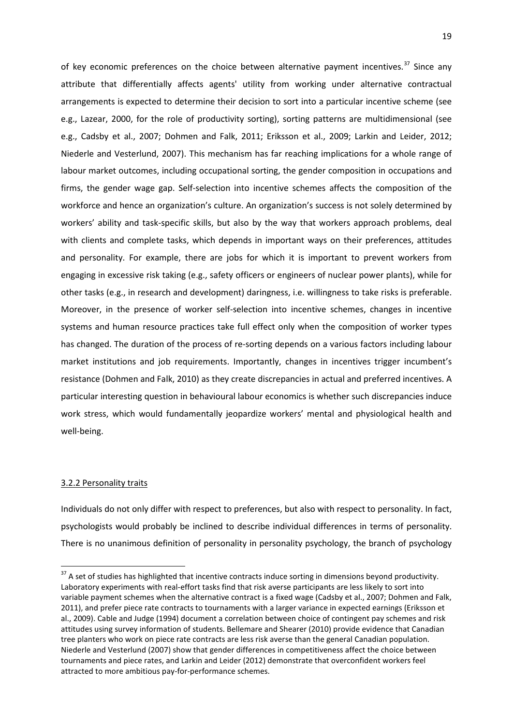of key economic preferences on the choice between alternative payment incentives. $37$  Since any attribute that differentially affects agents' utility from working under alternative contractual arrangements is expected to determine their decision to sort into a particular incentive scheme (see e.g., Lazear, 2000, for the role of productivity sorting), sorting patterns are multidimensional (see e.g., Cadsby et al., 2007; Dohmen and Falk, 2011; Eriksson et al., 2009; Larkin and Leider, 2012; Niederle and Vesterlund, 2007). This mechanism has far reaching implications for a whole range of labour market outcomes, including occupational sorting, the gender composition in occupations and firms, the gender wage gap. Self-selection into incentive schemes affects the composition of the workforce and hence an organization's culture. An organization's success is not solely determined by workers' ability and task-specific skills, but also by the way that workers approach problems, deal with clients and complete tasks, which depends in important ways on their preferences, attitudes and personality. For example, there are jobs for which it is important to prevent workers from engaging in excessive risk taking (e.g., safety officers or engineers of nuclear power plants), while for other tasks (e.g., in research and development) daringness, i.e. willingness to take risks is preferable. Moreover, in the presence of worker self-selection into incentive schemes, changes in incentive systems and human resource practices take full effect only when the composition of worker types has changed. The duration of the process of re-sorting depends on a various factors including labour market institutions and job requirements. Importantly, changes in incentives trigger incumbent's resistance (Dohmen and Falk, 2010) as they create discrepancies in actual and preferred incentives. A particular interesting question in behavioural labour economics is whether such discrepancies induce work stress, which would fundamentally jeopardize workers' mental and physiological health and well-being.

#### 3.2.2 Personality traits

Individuals do not only differ with respect to preferences, but also with respect to personality. In fact, psychologists would probably be inclined to describe individual differences in terms of personality. There is no unanimous definition of personality in personality psychology, the branch of psychology

<span id="page-20-0"></span><sup>&</sup>lt;sup>37</sup> A set of studies has highlighted that incentive contracts induce sorting in dimensions beyond productivity. Laboratory experiments with real-effort tasks find that risk averse participants are less likely to sort into variable payment schemes when the alternative contract is a fixed wage (Cadsby et al., 2007; Dohmen and Falk, 2011), and prefer piece rate contracts to tournaments with a larger variance in expected earnings (Eriksson et al., 2009). Cable and Judge (1994) document a correlation between choice of contingent pay schemes and risk attitudes using survey information of students. Bellemare and Shearer (2010) provide evidence that Canadian tree planters who work on piece rate contracts are less risk averse than the general Canadian population. Niederle and Vesterlund (2007) show that gender differences in competitiveness affect the choice between tournaments and piece rates, and Larkin and Leider (2012) demonstrate that overconfident workers feel attracted to more ambitious pay-for-performance schemes.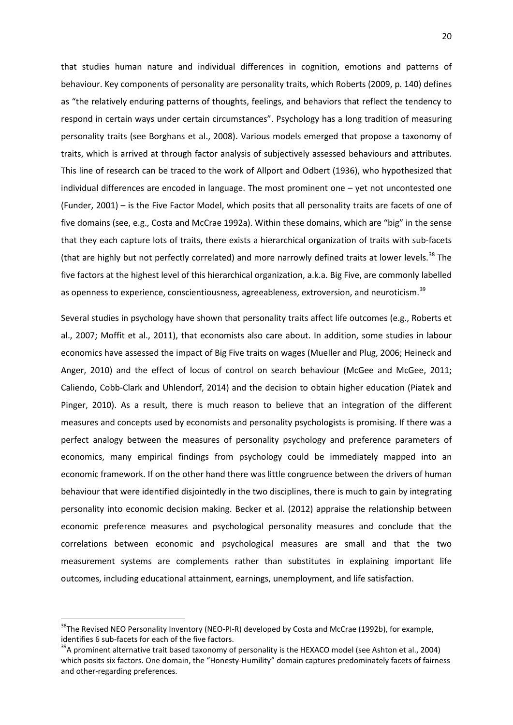that studies human nature and individual differences in cognition, emotions and patterns of behaviour. Key components of personality are personality traits, which Roberts (2009, p. 140) defines as "the relatively enduring patterns of thoughts, feelings, and behaviors that reflect the tendency to respond in certain ways under certain circumstances". Psychology has a long tradition of measuring personality traits (see Borghans et al., 2008). Various models emerged that propose a taxonomy of traits, which is arrived at through factor analysis of subjectively assessed behaviours and attributes. This line of research can be traced to the work of Allport and Odbert (1936), who hypothesized that individual differences are encoded in language. The most prominent one – yet not uncontested one (Funder, 2001) – is the Five Factor Model, which posits that all personality traits are facets of one of five domains (see, e.g., Costa and McCrae 1992a). Within these domains, which are "big" in the sense that they each capture lots of traits, there exists a hierarchical organization of traits with sub-facets (that are highly but not perfectly correlated) and more narrowly defined traits at lower levels.<sup>[38](#page-20-0)</sup> The five factors at the highest level of this hierarchical organization, a.k.a. Big Five, are commonly labelled as openness to experience, conscientiousness, agreeableness, extroversion, and neuroticism.<sup>[39](#page-21-0)</sup>

Several studies in psychology have shown that personality traits affect life outcomes (e.g., Roberts et al., 2007; Moffit et al., 2011), that economists also care about. In addition, some studies in labour economics have assessed the impact of Big Five traits on wages (Mueller and Plug, 2006; Heineck and Anger, 2010) and the effect of locus of control on search behaviour (McGee and McGee, 2011; Caliendo, Cobb-Clark and Uhlendorf, 2014) and the decision to obtain higher education (Piatek and Pinger, 2010). As a result, there is much reason to believe that an integration of the different measures and concepts used by economists and personality psychologists is promising. If there was a perfect analogy between the measures of personality psychology and preference parameters of economics, many empirical findings from psychology could be immediately mapped into an economic framework. If on the other hand there was little congruence between the drivers of human behaviour that were identified disjointedly in the two disciplines, there is much to gain by integrating personality into economic decision making. Becker et al. (2012) appraise the relationship between economic preference measures and psychological personality measures and conclude that the correlations between economic and psychological measures are small and that the two measurement systems are complements rather than substitutes in explaining important life outcomes, including educational attainment, earnings, unemployment, and life satisfaction.

<span id="page-21-1"></span><sup>&</sup>lt;sup>38</sup>The Revised NEO Personality Inventory (NEO-PI-R) developed by Costa and McCrae (1992b), for example, identifies 6 sub-facets for each of the five factors.<br><sup>39</sup>A prominent alternative trait based taxonomy of personality is the HEXACO model (see Ashton et al., 2004)

<span id="page-21-0"></span>which posits six factors. One domain, the "Honesty-Humility" domain captures predominately facets of fairness and other-regarding preferences.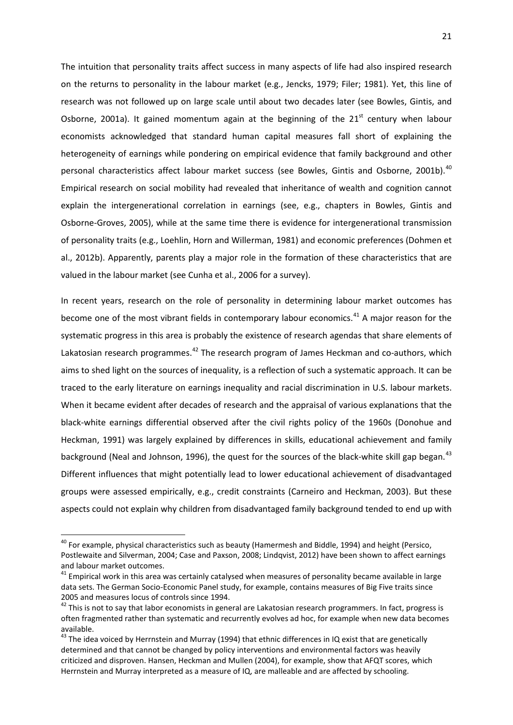The intuition that personality traits affect success in many aspects of life had also inspired research on the returns to personality in the labour market (e.g., Jencks, 1979; Filer; 1981). Yet, this line of research was not followed up on large scale until about two decades later (see Bowles, Gintis, and Osborne, 2001a). It gained momentum again at the beginning of the  $21<sup>st</sup>$  century when labour economists acknowledged that standard human capital measures fall short of explaining the heterogeneity of earnings while pondering on empirical evidence that family background and other personal characteristics affect labour market success (see Bowles, Gintis and Osborne, 2001b).<sup>[40](#page-21-1)</sup> Empirical research on social mobility had revealed that inheritance of wealth and cognition cannot explain the intergenerational correlation in earnings (see, e.g., chapters in Bowles, Gintis and Osborne-Groves, 2005), while at the same time there is evidence for intergenerational transmission of personality traits (e.g., Loehlin, Horn and Willerman, 1981) and economic preferences (Dohmen et al., 2012b). Apparently, parents play a major role in the formation of these characteristics that are valued in the labour market (see Cunha et al., 2006 for a survey).

In recent years, research on the role of personality in determining labour market outcomes has become one of the most vibrant fields in contemporary labour economics.<sup>[41](#page-22-0)</sup> A major reason for the systematic progress in this area is probably the existence of research agendas that share elements of Lakatosian research programmes.<sup>[42](#page-22-1)</sup> The research program of James Heckman and co-authors, which aims to shed light on the sources of inequality, is a reflection of such a systematic approach. It can be traced to the early literature on earnings inequality and racial discrimination in U.S. labour markets. When it became evident after decades of research and the appraisal of various explanations that the black-white earnings differential observed after the civil rights policy of the 1960s (Donohue and Heckman, 1991) was largely explained by differences in skills, educational achievement and family background (Neal and Johnson, 1996), the quest for the sources of the black-white skill gap began.<sup>[43](#page-22-2)</sup> Different influences that might potentially lead to lower educational achievement of disadvantaged groups were assessed empirically, e.g., credit constraints (Carneiro and Heckman, 2003). But these aspects could not explain why children from disadvantaged family background tended to end up with

<sup>&</sup>lt;sup>40</sup> For example, physical characteristics such as beauty (Hamermesh and Biddle, 1994) and height (Persico, Postlewaite and Silverman, 2004; Case and Paxson, 2008; Lindqvist, 2012) have been shown to affect earnings and labour market outcomes.

<span id="page-22-0"></span>and labour market batesmes.<br><sup>41</sup> Empirical work in this area was certainly catalysed when measures of personality became available in large data sets. The German Socio-Economic Panel study, for example, contains measures of Big Five traits since 2005 and measures locus of controls since 1994.<br><sup>42</sup> This is not to say that labor economists in general are Lakatosian research programmers. In fact, progress is

<span id="page-22-1"></span>often fragmented rather than systematic and recurrently evolves ad hoc, for example when new data becomes available.

<span id="page-22-3"></span><span id="page-22-2"></span> $43$  The idea voiced by Herrnstein and Murray (1994) that ethnic differences in IQ exist that are genetically determined and that cannot be changed by policy interventions and environmental factors was heavily criticized and disproven. Hansen, Heckman and Mullen (2004), for example, show that AFQT scores, which Herrnstein and Murray interpreted as a measure of IQ, are malleable and are affected by schooling.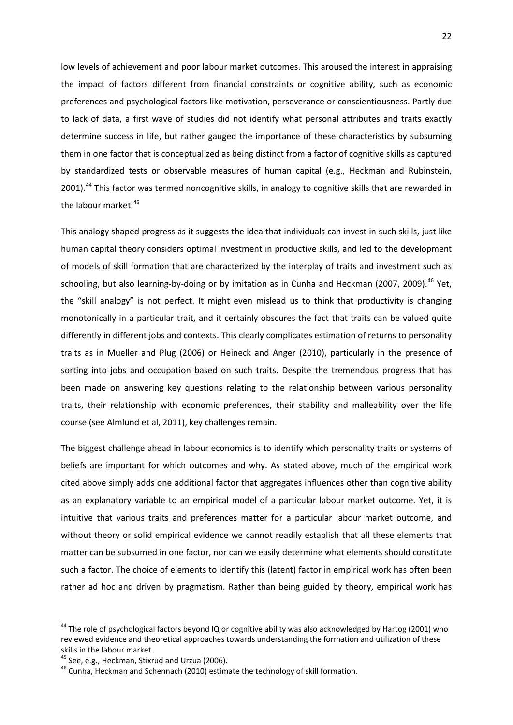low levels of achievement and poor labour market outcomes. This aroused the interest in appraising the impact of factors different from financial constraints or cognitive ability, such as economic preferences and psychological factors like motivation, perseverance or conscientiousness. Partly due to lack of data, a first wave of studies did not identify what personal attributes and traits exactly determine success in life, but rather gauged the importance of these characteristics by subsuming them in one factor that is conceptualized as being distinct from a factor of cognitive skills as captured by standardized tests or observable measures of human capital (e.g., Heckman and Rubinstein, 2001).<sup>[44](#page-22-3)</sup> This factor was termed noncognitive skills, in analogy to cognitive skills that are rewarded in the labour market.<sup>[45](#page-23-0)</sup>

This analogy shaped progress as it suggests the idea that individuals can invest in such skills, just like human capital theory considers optimal investment in productive skills, and led to the development of models of skill formation that are characterized by the interplay of traits and investment such as schooling, but also learning-by-doing or by imitation as in Cunha and Heckman (2007, 2009).<sup>[46](#page-23-1)</sup> Yet, the "skill analogy" is not perfect. It might even mislead us to think that productivity is changing monotonically in a particular trait, and it certainly obscures the fact that traits can be valued quite differently in different jobs and contexts. This clearly complicates estimation of returns to personality traits as in Mueller and Plug (2006) or Heineck and Anger (2010), particularly in the presence of sorting into jobs and occupation based on such traits. Despite the tremendous progress that has been made on answering key questions relating to the relationship between various personality traits, their relationship with economic preferences, their stability and malleability over the life course (see Almlund et al, 2011), key challenges remain.

The biggest challenge ahead in labour economics is to identify which personality traits or systems of beliefs are important for which outcomes and why. As stated above, much of the empirical work cited above simply adds one additional factor that aggregates influences other than cognitive ability as an explanatory variable to an empirical model of a particular labour market outcome. Yet, it is intuitive that various traits and preferences matter for a particular labour market outcome, and without theory or solid empirical evidence we cannot readily establish that all these elements that matter can be subsumed in one factor, nor can we easily determine what elements should constitute such a factor. The choice of elements to identify this (latent) factor in empirical work has often been rather ad hoc and driven by pragmatism. Rather than being guided by theory, empirical work has

<sup>&</sup>lt;sup>44</sup> The role of psychological factors beyond IQ or cognitive ability was also acknowledged by Hartog (2001) who reviewed evidence and theoretical approaches towards understanding the formation and utilization of these skills in the labour market.<br><sup>45</sup> See, e.g., Heckman, Stixrud and Urzua (2006).

<span id="page-23-0"></span>

<span id="page-23-1"></span> $46$  Cunha, Heckman and Schennach (2010) estimate the technology of skill formation.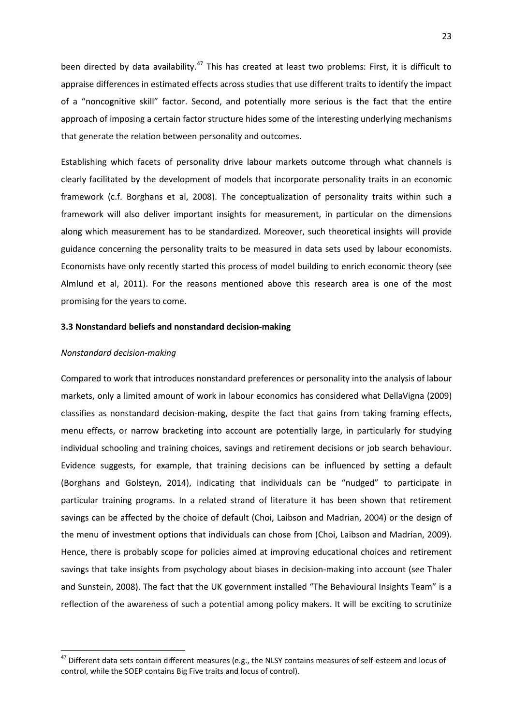been directed by data availability.<sup>[47](#page-23-0)</sup> This has created at least two problems: First, it is difficult to appraise differences in estimated effects across studies that use different traits to identify the impact of a "noncognitive skill" factor. Second, and potentially more serious is the fact that the entire approach of imposing a certain factor structure hides some of the interesting underlying mechanisms that generate the relation between personality and outcomes.

Establishing which facets of personality drive labour markets outcome through what channels is clearly facilitated by the development of models that incorporate personality traits in an economic framework (c.f. Borghans et al, 2008). The conceptualization of personality traits within such a framework will also deliver important insights for measurement, in particular on the dimensions along which measurement has to be standardized. Moreover, such theoretical insights will provide guidance concerning the personality traits to be measured in data sets used by labour economists. Economists have only recently started this process of model building to enrich economic theory (see Almlund et al, 2011). For the reasons mentioned above this research area is one of the most promising for the years to come.

#### **3.3 Nonstandard beliefs and nonstandard decision-making**

#### *Nonstandard decision-making*

Compared to work that introduces nonstandard preferences or personality into the analysis of labour markets, only a limited amount of work in labour economics has considered what DellaVigna (2009) classifies as nonstandard decision-making, despite the fact that gains from taking framing effects, menu effects, or narrow bracketing into account are potentially large, in particularly for studying individual schooling and training choices, savings and retirement decisions or job search behaviour. Evidence suggests, for example, that training decisions can be influenced by setting a default (Borghans and Golsteyn, 2014), indicating that individuals can be "nudged" to participate in particular training programs. In a related strand of literature it has been shown that retirement savings can be affected by the choice of default (Choi, Laibson and Madrian, 2004) or the design of the menu of investment options that individuals can chose from (Choi, Laibson and Madrian, 2009). Hence, there is probably scope for policies aimed at improving educational choices and retirement savings that take insights from psychology about biases in decision-making into account (see Thaler and Sunstein, 2008). The fact that the UK government installed "The Behavioural Insights Team" is a reflection of the awareness of such a potential among policy makers. It will be exciting to scrutinize

<span id="page-24-0"></span><sup>&</sup>lt;sup>47</sup> Different data sets contain different measures (e.g., the NLSY contains measures of self-esteem and locus of control, while the SOEP contains Big Five traits and locus of control).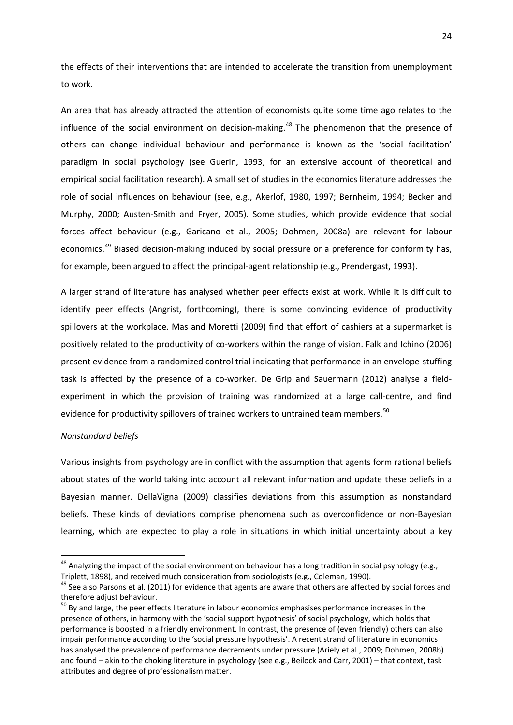the effects of their interventions that are intended to accelerate the transition from unemployment to work.

An area that has already attracted the attention of economists quite some time ago relates to the influence of the social environment on decision-making.<sup>[48](#page-24-0)</sup> The phenomenon that the presence of others can change individual behaviour and performance is known as the 'social facilitation' paradigm in social psychology (see Guerin, 1993, for an extensive account of theoretical and empirical social facilitation research). A small set of studies in the economics literature addresses the role of social influences on behaviour (see, e.g., Akerlof, 1980, 1997; Bernheim, 1994; Becker and Murphy, 2000; Austen-Smith and Fryer, 2005). Some studies, which provide evidence that social forces affect behaviour (e.g., Garicano et al., 2005; Dohmen, 2008a) are relevant for labour economics.<sup>[49](#page-25-0)</sup> Biased decision-making induced by social pressure or a preference for conformity has, for example, been argued to affect the principal-agent relationship (e.g., Prendergast, 1993).

A larger strand of literature has analysed whether peer effects exist at work. While it is difficult to identify peer effects (Angrist, forthcoming), there is some convincing evidence of productivity spillovers at the workplace. Mas and Moretti (2009) find that effort of cashiers at a supermarket is positively related to the productivity of co-workers within the range of vision. Falk and Ichino (2006) present evidence from a randomized control trial indicating that performance in an envelope-stuffing task is affected by the presence of a co-worker. De Grip and Sauermann (2012) analyse a fieldexperiment in which the provision of training was randomized at a large call-centre, and find evidence for productivity spillovers of trained workers to untrained team members.<sup>[50](#page-25-1)</sup>

#### *Nonstandard beliefs*

Various insights from psychology are in conflict with the assumption that agents form rational beliefs about states of the world taking into account all relevant information and update these beliefs in a Bayesian manner. DellaVigna (2009) classifies deviations from this assumption as nonstandard beliefs. These kinds of deviations comprise phenomena such as overconfidence or non-Bayesian learning, which are expected to play a role in situations in which initial uncertainty about a key

<sup>&</sup>lt;sup>48</sup> Analvzing the impact of the social environment on behaviour has a long tradition in social psyhology (e.g., Triplett, 1898), and received much consideration from sociologists (e.g., Coleman, 1990).<br><sup>49</sup> See also Parsons et al. (2011) for evidence that agents are aware that others are affected by social forces and

<span id="page-25-0"></span>therefore adjust behaviour.

<span id="page-25-2"></span><span id="page-25-1"></span><sup>&</sup>lt;sup>50</sup> By and large, the peer effects literature in labour economics emphasises performance increases in the presence of others, in harmony with the 'social support hypothesis' of social psychology, which holds that performance is boosted in a friendly environment. In contrast, the presence of (even friendly) others can also impair performance according to the 'social pressure hypothesis'. A recent strand of literature in economics has analysed the prevalence of performance decrements under pressure (Ariely et al., 2009; Dohmen, 2008b) and found – akin to the choking literature in psychology (see e.g., Beilock and Carr, 2001) – that context, task attributes and degree of professionalism matter.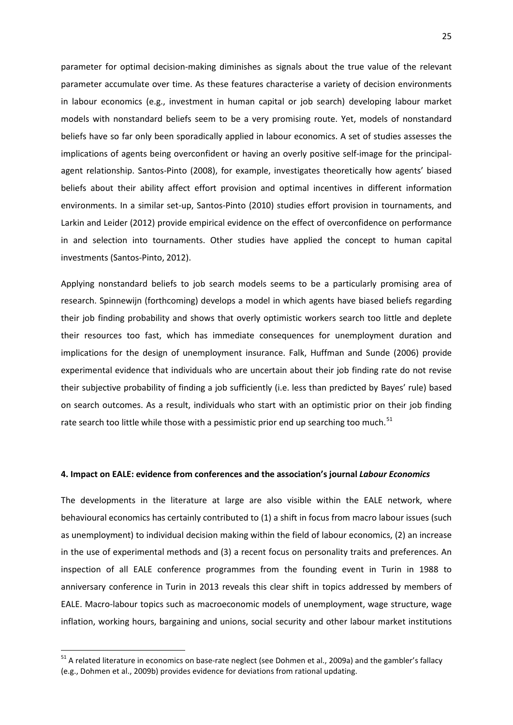parameter for optimal decision-making diminishes as signals about the true value of the relevant parameter accumulate over time. As these features characterise a variety of decision environments in labour economics (e.g., investment in human capital or job search) developing labour market models with nonstandard beliefs seem to be a very promising route. Yet, models of nonstandard beliefs have so far only been sporadically applied in labour economics. A set of studies assesses the implications of agents being overconfident or having an overly positive self-image for the principalagent relationship. Santos-Pinto (2008), for example, investigates theoretically how agents' biased beliefs about their ability affect effort provision and optimal incentives in different information environments. In a similar set-up, Santos-Pinto (2010) studies effort provision in tournaments, and Larkin and Leider (2012) provide empirical evidence on the effect of overconfidence on performance in and selection into tournaments. Other studies have applied the concept to human capital investments (Santos-Pinto, 2012).

Applying nonstandard beliefs to job search models seems to be a particularly promising area of research. Spinnewijn (forthcoming) develops a model in which agents have biased beliefs regarding their job finding probability and shows that overly optimistic workers search too little and deplete their resources too fast, which has immediate consequences for unemployment duration and implications for the design of unemployment insurance. Falk, Huffman and Sunde (2006) provide experimental evidence that individuals who are uncertain about their job finding rate do not revise their subjective probability of finding a job sufficiently (i.e. less than predicted by Bayes' rule) based on search outcomes. As a result, individuals who start with an optimistic prior on their job finding rate search too little while those with a pessimistic prior end up searching too much.<sup>[51](#page-25-2)</sup>

#### **4. Impact on EALE: evidence from conferences and the association's journal** *Labour Economics*

The developments in the literature at large are also visible within the EALE network, where behavioural economics has certainly contributed to (1) a shift in focus from macro labour issues (such as unemployment) to individual decision making within the field of labour economics, (2) an increase in the use of experimental methods and (3) a recent focus on personality traits and preferences. An inspection of all EALE conference programmes from the founding event in Turin in 1988 to anniversary conference in Turin in 2013 reveals this clear shift in topics addressed by members of EALE. Macro-labour topics such as macroeconomic models of unemployment, wage structure, wage inflation, working hours, bargaining and unions, social security and other labour market institutions

<sup>&</sup>lt;sup>51</sup> A related literature in economics on base-rate neglect (see Dohmen et al., 2009a) and the gambler's fallacy (e.g., Dohmen et al., 2009b) provides evidence for deviations from rational updating.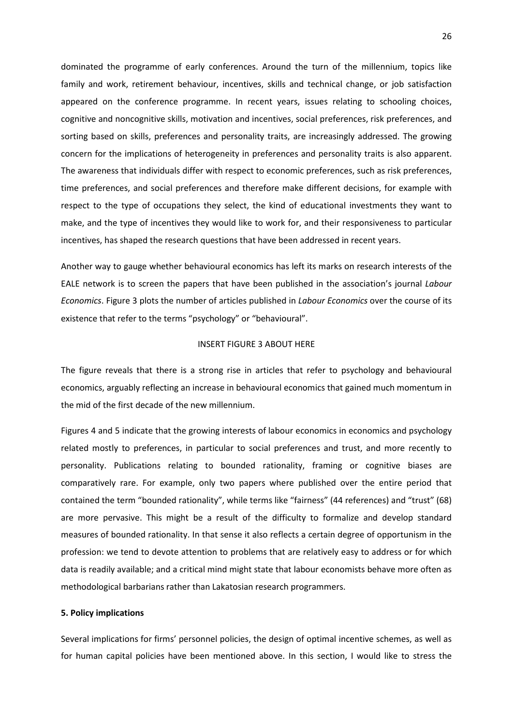dominated the programme of early conferences. Around the turn of the millennium, topics like family and work, retirement behaviour, incentives, skills and technical change, or job satisfaction appeared on the conference programme. In recent years, issues relating to schooling choices, cognitive and noncognitive skills, motivation and incentives, social preferences, risk preferences, and sorting based on skills, preferences and personality traits, are increasingly addressed. The growing concern for the implications of heterogeneity in preferences and personality traits is also apparent. The awareness that individuals differ with respect to economic preferences, such as risk preferences, time preferences, and social preferences and therefore make different decisions, for example with respect to the type of occupations they select, the kind of educational investments they want to make, and the type of incentives they would like to work for, and their responsiveness to particular incentives, has shaped the research questions that have been addressed in recent years.

Another way to gauge whether behavioural economics has left its marks on research interests of the EALE network is to screen the papers that have been published in the association's journal *Labour Economics*. Figure 3 plots the number of articles published in *Labour Economics* over the course of its existence that refer to the terms "psychology" or "behavioural".

#### INSERT FIGURE 3 ABOUT HERE

The figure reveals that there is a strong rise in articles that refer to psychology and behavioural economics, arguably reflecting an increase in behavioural economics that gained much momentum in the mid of the first decade of the new millennium.

Figures 4 and 5 indicate that the growing interests of labour economics in economics and psychology related mostly to preferences, in particular to social preferences and trust, and more recently to personality. Publications relating to bounded rationality, framing or cognitive biases are comparatively rare. For example, only two papers where published over the entire period that contained the term "bounded rationality", while terms like "fairness" (44 references) and "trust" (68) are more pervasive. This might be a result of the difficulty to formalize and develop standard measures of bounded rationality. In that sense it also reflects a certain degree of opportunism in the profession: we tend to devote attention to problems that are relatively easy to address or for which data is readily available; and a critical mind might state that labour economists behave more often as methodological barbarians rather than Lakatosian research programmers.

#### **5. Policy implications**

Several implications for firms' personnel policies, the design of optimal incentive schemes, as well as for human capital policies have been mentioned above. In this section, I would like to stress the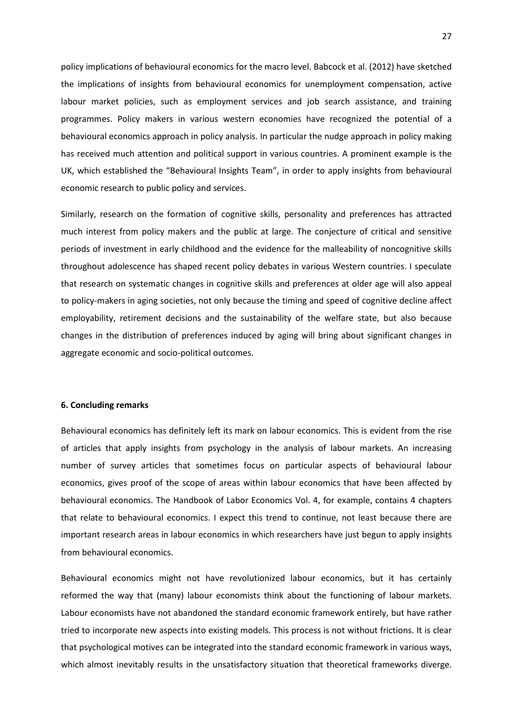policy implications of behavioural economics for the macro level. Babcock et al. (2012) have sketched the implications of insights from behavioural economics for unemployment compensation, active labour market policies, such as employment services and job search assistance, and training programmes. Policy makers in various western economies have recognized the potential of a behavioural economics approach in policy analysis. In particular the nudge approach in policy making has received much attention and political support in various countries. A prominent example is the UK, which established the "Behavioural Insights Team", in order to apply insights from behavioural economic research to public policy and services.

Similarly, research on the formation of cognitive skills, personality and preferences has attracted much interest from policy makers and the public at large. The conjecture of critical and sensitive periods of investment in early childhood and the evidence for the malleability of noncognitive skills throughout adolescence has shaped recent policy debates in various Western countries. I speculate that research on systematic changes in cognitive skills and preferences at older age will also appeal to policy-makers in aging societies, not only because the timing and speed of cognitive decline affect employability, retirement decisions and the sustainability of the welfare state, but also because changes in the distribution of preferences induced by aging will bring about significant changes in aggregate economic and socio-political outcomes.

#### **6. Concluding remarks**

Behavioural economics has definitely left its mark on labour economics. This is evident from the rise of articles that apply insights from psychology in the analysis of labour markets. An increasing number of survey articles that sometimes focus on particular aspects of behavioural labour economics, gives proof of the scope of areas within labour economics that have been affected by behavioural economics. The Handbook of Labor Economics Vol. 4, for example, contains 4 chapters that relate to behavioural economics. I expect this trend to continue, not least because there are important research areas in labour economics in which researchers have just begun to apply insights from behavioural economics.

Behavioural economics might not have revolutionized labour economics, but it has certainly reformed the way that (many) labour economists think about the functioning of labour markets. Labour economists have not abandoned the standard economic framework entirely, but have rather tried to incorporate new aspects into existing models. This process is not without frictions. It is clear that psychological motives can be integrated into the standard economic framework in various ways, which almost inevitably results in the unsatisfactory situation that theoretical frameworks diverge.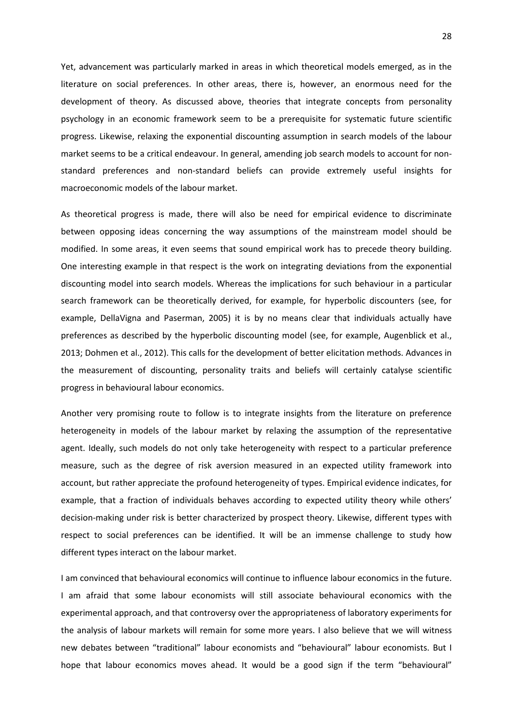Yet, advancement was particularly marked in areas in which theoretical models emerged, as in the literature on social preferences. In other areas, there is, however, an enormous need for the development of theory. As discussed above, theories that integrate concepts from personality psychology in an economic framework seem to be a prerequisite for systematic future scientific progress. Likewise, relaxing the exponential discounting assumption in search models of the labour market seems to be a critical endeavour. In general, amending job search models to account for nonstandard preferences and non-standard beliefs can provide extremely useful insights for macroeconomic models of the labour market.

As theoretical progress is made, there will also be need for empirical evidence to discriminate between opposing ideas concerning the way assumptions of the mainstream model should be modified. In some areas, it even seems that sound empirical work has to precede theory building. One interesting example in that respect is the work on integrating deviations from the exponential discounting model into search models. Whereas the implications for such behaviour in a particular search framework can be theoretically derived, for example, for hyperbolic discounters (see, for example, DellaVigna and Paserman, 2005) it is by no means clear that individuals actually have preferences as described by the hyperbolic discounting model (see, for example, Augenblick et al., 2013; Dohmen et al., 2012). This calls for the development of better elicitation methods. Advances in the measurement of discounting, personality traits and beliefs will certainly catalyse scientific progress in behavioural labour economics.

Another very promising route to follow is to integrate insights from the literature on preference heterogeneity in models of the labour market by relaxing the assumption of the representative agent. Ideally, such models do not only take heterogeneity with respect to a particular preference measure, such as the degree of risk aversion measured in an expected utility framework into account, but rather appreciate the profound heterogeneity of types. Empirical evidence indicates, for example, that a fraction of individuals behaves according to expected utility theory while others' decision-making under risk is better characterized by prospect theory. Likewise, different types with respect to social preferences can be identified. It will be an immense challenge to study how different types interact on the labour market.

I am convinced that behavioural economics will continue to influence labour economics in the future. I am afraid that some labour economists will still associate behavioural economics with the experimental approach, and that controversy over the appropriateness of laboratory experiments for the analysis of labour markets will remain for some more years. I also believe that we will witness new debates between "traditional" labour economists and "behavioural" labour economists. But I hope that labour economics moves ahead. It would be a good sign if the term "behavioural"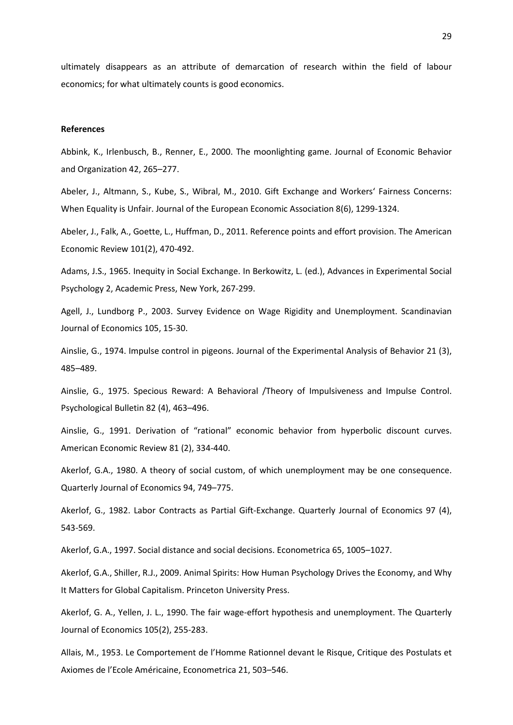ultimately disappears as an attribute of demarcation of research within the field of labour economics; for what ultimately counts is good economics.

#### **References**

Abbink, K., Irlenbusch, B., Renner, E., 2000. The moonlighting game. Journal of Economic Behavior and Organization 42, 265–277.

Abeler, J., Altmann, S., Kube, S., Wibral, M., 2010. Gift Exchange and Workers' Fairness Concerns: When Equality is Unfair. Journal of the European Economic Association 8(6), 1299-1324.

Abeler, J., Falk, A., Goette, L., Huffman, D., 2011. Reference points and effort provision. The American Economic Review 101(2), 470-492.

Adams, J.S., 1965. Inequity in Social Exchange. In Berkowitz, L. (ed.), Advances in Experimental Social Psychology 2, Academic Press, New York, 267-299.

Agell, J., Lundborg P., 2003. Survey Evidence on Wage Rigidity and Unemployment. Scandinavian Journal of Economics 105, 15-30.

Ainslie, G., 1974. Impulse control in pigeons. [Journal of the Experimental Analysis of Behavior](http://en.wikipedia.org/wiki/Journal_of_the_Experimental_Analysis_of_Behavior) 21 (3), 485–489.

Ainslie, G., 1975. Specious Reward: A Behavioral /Theory of Impulsiveness and Impulse Control. Psychological Bulletin 82 (4), 463–496.

Ainslie, G., 1991. Derivation of "rational" economic behavior from hyperbolic discount curves. American Economic Review 81 (2), 334-440.

Akerlof, G.A., 1980. A theory of social custom, of which unemployment may be one consequence. Quarterly Journal of Economics 94, 749–775.

Akerlof, G., 1982. Labor Contracts as Partial Gift-Exchange. Quarterly Journal of Economics 97 (4), 543-569.

Akerlof, G.A., 1997. Social distance and social decisions. Econometrica 65, 1005–1027.

Akerlof, G.A., Shiller, R.J., 2009. Animal Spirits: How Human Psychology Drives the Economy, and Why It Matters for Global Capitalism. Princeton University Press.

Akerlof, G. A., Yellen, J. L., 1990. The fair wage-effort hypothesis and unemployment. The Quarterly Journal of Economics 105(2), 255-283.

Allais, M., 1953. Le Comportement de l'Homme Rationnel devant le Risque, Critique des Postulats et Axiomes de l'Ecole Américaine, Econometrica 21, 503–546.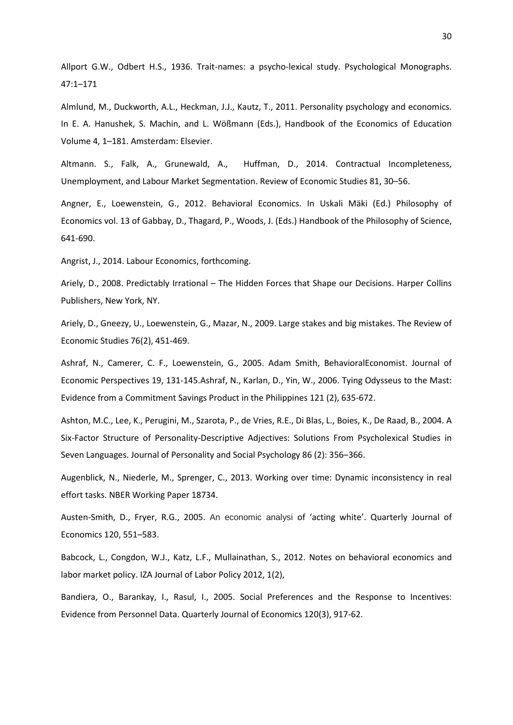Allport G.W., Odbert H.S., 1936. Trait-names: a psycho-lexical study. Psychological Monographs. 47:1–171

Almlund, M., Duckworth, A.L., Heckman, J.J., Kautz, T., 2011. Personality psychology and economics. In E. A. Hanushek, S. Machin, and L. Wößmann (Eds.), Handbook of the Economics of Education Volume 4, 1–181. Amsterdam: Elsevier.

Altmann. S., Falk, A., Grunewald, A., Huffman, D., 2014. Contractual Incompleteness, Unemployment, and Labour Market Segmentation. Review of Economic Studies 81, 30–56.

Angner, E., Loewenstein, G., 2012. Behavioral Economics. In Uskali Mäki (Ed.) Philosophy of Economics vol. 13 of Gabbay, D., Thagard, P., Woods, J. (Eds.) Handbook of the Philosophy of Science, 641-690.

Angrist, J., 2014. Labour Economics, forthcoming.

Ariely, D., 2008. Predictably Irrational – The Hidden Forces that Shape our Decisions. Harper Collins Publishers, New York, NY.

Ariely, D., Gneezy, U., Loewenstein, G., Mazar, N., 2009. Large stakes and big mistakes. The Review of Economic Studies 76(2), 451-469.

Ashraf, N., Camerer, C. F., Loewenstein, G., 2005. Adam Smith, BehavioralEconomist. Journal of Economic Perspectives 19, 131-145.Ashraf, N., Karlan, D., Yin, W., 2006. Tying Odysseus to the Mast: Evidence from a Commitment Savings Product in the Philippines 121 (2), 635-672.

Ashton, M.C., Lee, K., Perugini, M., Szarota, P., de Vries, R.E., Di Blas, L., Boies, K., De Raad, B., 2004. A Six-Factor Structure of Personality-Descriptive Adjectives: Solutions From Psycholexical Studies in Seven Languages. Journal of Personality and Social Psychology 86 (2): 356–366.

Augenblick, N., Niederle, M., Sprenger, C., 2013. Working over time: Dynamic inconsistency in real effort tasks. NBER Working Paper 18734.

Austen-Smith, D., Fryer, R.G., 2005. An economic analysi of 'acting white'. Quarterly Journal of Economics 120, 551–583.

Babcock, L., Congdon, W.J., Katz, L.F., Mullainathan, S., 2012. Notes on behavioral economics and labor market policy. IZA Journal of Labor Policy 2012, 1(2),

Bandiera, O., Barankay, I., Rasul, I., 2005. Social Preferences and the Response to Incentives: Evidence from Personnel Data. Quarterly Journal of Economics 120(3), 917-62.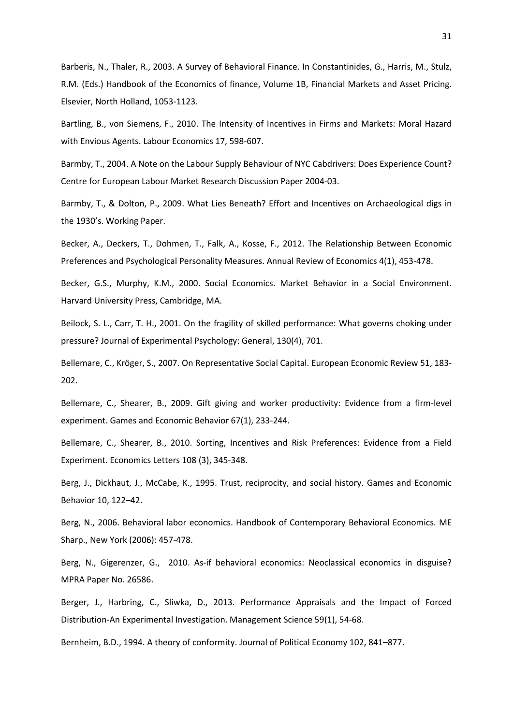Barberis, N., Thaler, R., 2003. A Survey of Behavioral Finance. In Constantinides, G., Harris, M., Stulz, R.M. (Eds.) Handbook of the Economics of finance, Volume 1B, Financial Markets and Asset Pricing. Elsevier, North Holland, 1053-1123.

Bartling, B., von Siemens, F., 2010. The Intensity of Incentives in Firms and Markets: Moral Hazard with Envious Agents. Labour Economics 17, 598-607.

Barmby, T., 2004. A Note on the Labour Supply Behaviour of NYC Cabdrivers: Does Experience Count? Centre for European Labour Market Research Discussion Paper 2004-03.

Barmby, T., & Dolton, P., 2009. What Lies Beneath? Effort and Incentives on Archaeological digs in the 1930's. Working Paper.

Becker, A., Deckers, T., Dohmen, T., Falk, A., Kosse, F., 2012. [The Relationship Between Economic](http://ideas.repec.org/a/anr/reveco/v4y2012p453-478.html)  [Preferences and Psychological Personality Measures.](http://ideas.repec.org/a/anr/reveco/v4y2012p453-478.html) Annual Review of Economics 4(1), 453-478.

Becker, G.S., Murphy, K.M., 2000. Social Economics. Market Behavior in a Social Environment. Harvard University Press, Cambridge, MA.

Beilock, S. L., Carr, T. H., 2001. On the fragility of skilled performance: What governs choking under pressure? Journal of Experimental Psychology: General, 130(4), 701.

Bellemare, C., Kröger, S., 2007. On Representative Social Capital. European Economic Review 51, 183- 202.

Bellemare, C., Shearer, B., 2009. Gift giving and worker productivity: Evidence from a firm-level experiment. Games and Economic Behavior 67(1), 233-244.

Bellemare, C., Shearer, B., 2010. Sorting, Incentives and Risk Preferences: Evidence from a Field Experiment. Economics Letters 108 (3), 345-348.

Berg, J., Dickhaut, J., McCabe, K., 1995. Trust, reciprocity, and social history. Games and Economic Behavior 10, 122–42.

Berg, N., 2006. Behavioral labor economics. Handbook of Contemporary Behavioral Economics. ME Sharp., New York (2006): 457-478.

Berg, N., Gigerenzer, G., 2010. As-if behavioral economics: Neoclassical economics in disguise? MPRA Paper No. 26586.

Berger, J., Harbring, C., Sliwka, D., 2013. Performance Appraisals and the Impact of Forced Distribution-An Experimental Investigation. Management Science 59(1), 54-68.

Bernheim, B.D., 1994. A theory of conformity. Journal of Political Economy 102, 841–877.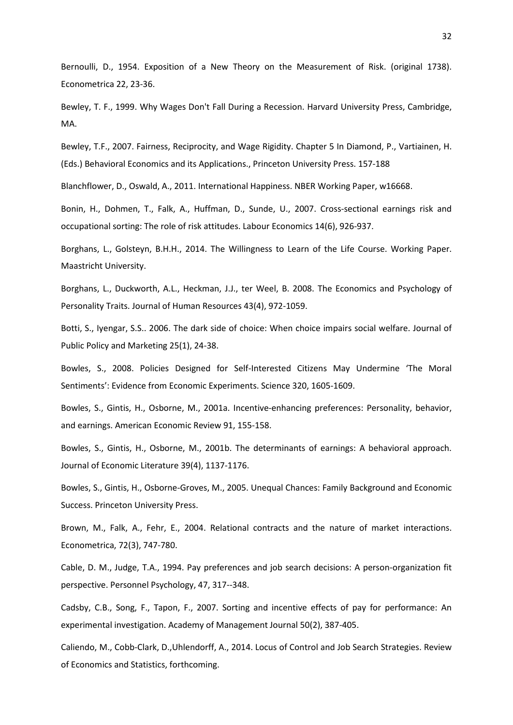Bernoulli, D., 1954. Exposition of a New Theory on the Measurement of Risk. (original 1738). Econometrica 22, 23-36.

Bewley, T. F., 1999. Why Wages Don't Fall During a Recession. Harvard University Press, Cambridge, MA.

Bewley, T.F., 2007. Fairness, Reciprocity, and Wage Rigidity. Chapter 5 In Diamond, P., Vartiainen, H. (Eds.) Behavioral Economics and its Applications., Princeton University Press. 157-188

Blanchflower, D., Oswald, A., 2011. International Happiness. NBER Working Paper, w16668.

Bonin, H., Dohmen, T., Falk, A., Huffman, D., Sunde, U., 2007. Cross-sectional earnings risk and occupational sorting: The role of risk attitudes. Labour Economics 14(6), 926-937.

Borghans, L., Golsteyn, B.H.H., 2014. The Willingness to Learn of the Life Course. Working Paper. Maastricht University.

Borghans, L., Duckworth, A.L., Heckman, J.J., ter Weel, B. 2008. The Economics and Psychology of Personality Traits. Journal of Human Resources 43(4), 972-1059.

Botti, S., Iyengar, S.S.. 2006. The dark side of choice: When choice impairs social welfare. Journal of Public Policy and Marketing 25(1), 24-38.

Bowles, S., 2008. Policies Designed for Self-Interested Citizens May Undermine 'The Moral Sentiments': Evidence from Economic Experiments. Science 320, 1605-1609.

Bowles, S., Gintis, H., Osborne, M., 2001a. Incentive-enhancing preferences: Personality, behavior, and earnings. American Economic Review 91, 155-158.

Bowles, S., Gintis, H., Osborne, M., 2001b. The determinants of earnings: A behavioral approach. Journal of Economic Literature 39(4), 1137-1176.

Bowles, S., Gintis, H., Osborne-Groves, M., 2005. Unequal Chances: Family Background and Economic Success. Princeton University Press.

Brown, M., Falk, A., Fehr, E., 2004. Relational contracts and the nature of market interactions. Econometrica, 72(3), 747-780.

Cable, D. M., Judge, T.A., 1994. Pay preferences and job search decisions: A person-organization fit perspective. Personnel Psychology, 47, 317--348.

Cadsby, C.B., Song, F., Tapon, F., 2007. Sorting and incentive effects of pay for performance: An experimental investigation. Academy of Management Journal 50(2), 387-405.

Caliendo, M., Cobb-Clark, D.,Uhlendorff, A., 2014. Locus of Control and Job Search Strategies. Review of Economics and Statistics, forthcoming.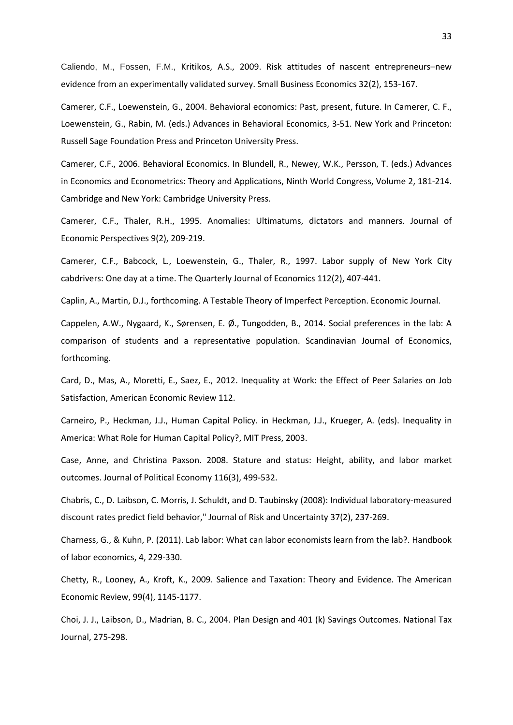Caliendo, M., Fossen, F.M., Kritikos, A.S., 2009. Risk attitudes of nascent entrepreneurs–new evidence from an experimentally validated survey. Small Business Economics 32(2), 153-167.

Camerer, C.F., Loewenstein, G., 2004. Behavioral economics: Past, present, future. In Camerer, C. F., Loewenstein, G., Rabin, M. (eds.) Advances in Behavioral Economics, 3-51. New York and Princeton: Russell Sage Foundation Press and Princeton University Press.

Camerer, C.F., 2006. Behavioral Economics. In Blundell, R., Newey, W.K., Persson, T. (eds.) Advances in Economics and Econometrics: Theory and Applications, Ninth World Congress, Volume 2, 181-214. Cambridge and New York: Cambridge University Press.

Camerer, C.F., Thaler, R.H., 1995. Anomalies: Ultimatums, dictators and manners. Journal of Economic Perspectives 9(2), 209-219.

Camerer, C.F., Babcock, L., Loewenstein, G., Thaler, R., 1997. Labor supply of New York City cabdrivers: One day at a time. The Quarterly Journal of Economics 112(2), 407-441.

Caplin, A., Martin, D.J., forthcoming. A Testable Theory of Imperfect Perception. Economic Journal.

Cappelen, A.W., Nygaard, K., Sørensen, E. Ø., Tungodden, B., 2014. Social preferences in the lab: A comparison of students and a representative population. Scandinavian Journal of Economics, forthcoming.

Card, D., Mas, A., Moretti, E., Saez, E., 2012. Inequality at Work: the Effect of Peer Salaries on Job Satisfaction, American Economic Review 112.

Carneiro, P., Heckman, J.J., Human Capital Policy. in Heckman, J.J., Krueger, A. (eds). Inequality in America: What Role for Human Capital Policy?, MIT Press, 2003.

Case, Anne, and Christina Paxson. 2008. Stature and status: Height, ability, and labor market outcomes. Journal of Political Economy 116(3), 499-532.

Chabris, C., D. Laibson, C. Morris, J. Schuldt, and D. Taubinsky (2008): Individual laboratory-measured discount rates predict field behavior," Journal of Risk and Uncertainty 37(2), 237-269.

Charness, G., & Kuhn, P. (2011). Lab labor: What can labor economists learn from the lab?. Handbook of labor economics, 4, 229-330.

Chetty, R., Looney, A., Kroft, K., 2009. Salience and Taxation: Theory and Evidence. The American Economic Review, 99(4), 1145-1177.

Choi, J. J., Laibson, D., Madrian, B. C., 2004. Plan Design and 401 (k) Savings Outcomes. National Tax Journal, 275-298.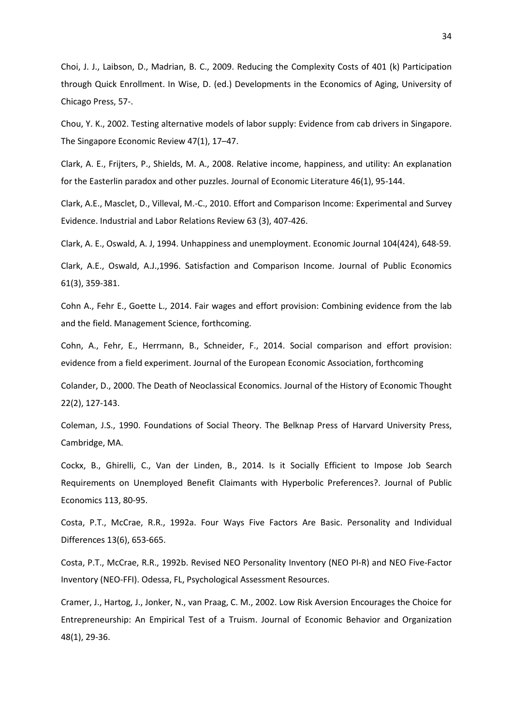Choi, J. J., Laibson, D., Madrian, B. C., 2009. Reducing the Complexity Costs of 401 (k) Participation through Quick Enrollment. In Wise, D. (ed.) Developments in the Economics of Aging, University of Chicago Press, 57-.

Chou, Y. K., 2002. Testing alternative models of labor supply: Evidence from cab drivers in Singapore. The Singapore Economic Review 47(1), 17–47.

Clark, A. E., Frijters, P., Shields, M. A., 2008. Relative income, happiness, and utility: An explanation for the Easterlin paradox and other puzzles. Journal of Economic Literature 46(1), 95-144.

Clark, A.E., Masclet, D., Villeval, M.-C., 2010. Effort and Comparison Income: Experimental and Survey Evidence. Industrial and Labor Relations Review 63 (3), 407-426.

Clark, A. E., Oswald, A. J, 1994. Unhappiness and unemployment. Economic Journal 104(424), 648-59.

Clark, A.E., Oswald, A.J.,1996. Satisfaction and Comparison Income. Journal of Public Economics 61(3), 359-381.

Cohn A., Fehr E., Goette L., 2014. Fair wages and effort provision: Combining evidence from the lab and the field. Management Science, forthcoming.

Cohn, A., Fehr, E., Herrmann, B., Schneider, F., 2014. Social comparison and effort provision: evidence from a field experiment. Journal of the European Economic Association, forthcoming

Colander, D., 2000. The Death of Neoclassical Economics. Journal of the History of Economic Thought 22(2), 127-143.

Coleman, J.S., 1990. Foundations of Social Theory. The Belknap Press of Harvard University Press, Cambridge, MA.

Cockx, B., Ghirelli, C., Van der Linden, B., 2014. Is it Socially Efficient to Impose Job Search Requirements on Unemployed Benefit Claimants with Hyperbolic Preferences?. Journal of Public Economics 113, 80-95.

Costa, P.T., McCrae, R.R., 1992a. Four Ways Five Factors Are Basic. Personality and Individual Differences 13(6), 653-665.

Costa, P.T., McCrae, R.R., 1992b. Revised NEO Personality Inventory (NEO PI-R) and NEO Five-Factor Inventory (NEO-FFI). Odessa, FL, Psychological Assessment Resources.

Cramer, J., Hartog, J., Jonker, N., van Praag, C. M., 2002. Low Risk Aversion Encourages the Choice for Entrepreneurship: An Empirical Test of a Truism. Journal of Economic Behavior and Organization 48(1), 29-36.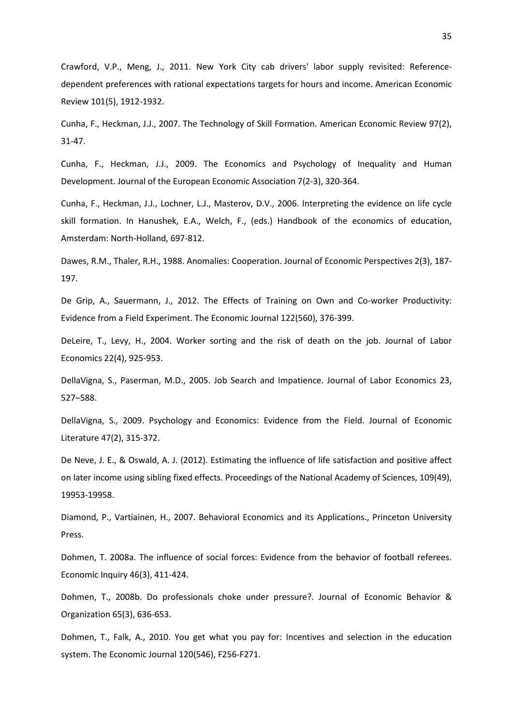Crawford, V.P., Meng, J., 2011. New York City cab drivers' labor supply revisited: Referencedependent preferences with rational expectations targets for hours and income. American Economic Review 101(5), 1912-1932.

Cunha, F., Heckman, J.J., 2007. The Technology of Skill Formation. American Economic Review 97(2), 31-47.

Cunha, F., Heckman, J.J., 2009. The Economics and Psychology of Inequality and Human Development. Journal of the European Economic Association 7(2-3), 320-364.

Cunha, F., Heckman, J.J., Lochner, L.J., Masterov, D.V., 2006. Interpreting the evidence on life cycle skill formation. In Hanushek, E.A., Welch, F., (eds.) Handbook of the economics of education, Amsterdam: North-Holland, 697-812.

Dawes, R.M., Thaler, R.H., 1988. Anomalies: Cooperation. Journal of Economic Perspectives 2(3), 187- 197.

De Grip, A., Sauermann, J., 2012. The Effects of Training on Own and Co-worker Productivity: Evidence from a Field Experiment. The Economic Journal 122(560), 376-399.

DeLeire, T., Levy, H., 2004. Worker sorting and the risk of death on the job. Journal of Labor Economics 22(4), 925-953.

DellaVigna, S., Paserman, M.D., 2005. Job Search and Impatience. Journal of Labor Economics 23, 527–588.

DellaVigna, S., 2009. Psychology and Economics: Evidence from the Field. Journal of Economic Literature 47(2), 315-372.

De Neve, J. E., & Oswald, A. J. (2012). Estimating the influence of life satisfaction and positive affect on later income using sibling fixed effects. Proceedings of the National Academy of Sciences, 109(49), 19953-19958.

Diamond, P., Vartiainen, H., 2007. Behavioral Economics and its Applications., Princeton University Press.

Dohmen, T. 2008a. The influence of social forces: Evidence from the behavior of football referees. Economic Inquiry 46(3), 411-424.

Dohmen, T., 2008b. Do professionals choke under pressure?. Journal of Economic Behavior & Organization 65(3), 636-653.

Dohmen, T., Falk, A., 2010. You get what you pay for: Incentives and selection in the education system. The Economic Journal 120(546), F256-F271.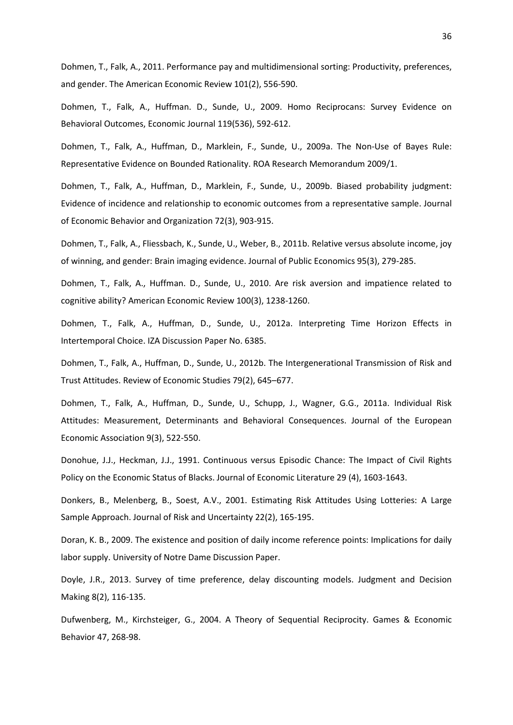Dohmen, T., Falk, A., 2011. Performance pay and multidimensional sorting: Productivity, preferences, and gender. The American Economic Review 101(2), 556-590.

Dohmen, T., Falk, A., Huffman. D., Sunde, U., 2009. Homo Reciprocans: Survey Evidence on Behavioral Outcomes, Economic Journal 119(536), 592-612.

Dohmen, T., Falk, A., Huffman, D., Marklein, F., Sunde, U., 2009a. The Non-Use of Bayes Rule: Representative Evidence on Bounded Rationality. ROA Research Memorandum 2009/1.

Dohmen, T., Falk, A., Huffman, D., Marklein, F., Sunde, U., 2009b. Biased probability judgment: Evidence of incidence and relationship to economic outcomes from a representative sample. Journal of Economic Behavior and Organization 72(3), 903-915.

Dohmen, T., Falk, A., Fliessbach, K., Sunde, U., Weber, B., 2011b. Relative versus absolute income, joy of winning, and gender: Brain imaging evidence. Journal of Public Economics 95(3), 279-285.

Dohmen, T., Falk, A., Huffman. D., Sunde, U., 2010. Are risk aversion and impatience related to cognitive ability? American Economic Review 100(3), 1238-1260.

Dohmen, T., Falk, A., Huffman, D., Sunde, U., 2012a. Interpreting Time Horizon Effects in Intertemporal Choice. IZA Discussion Paper No. 6385.

Dohmen, T., Falk, A., Huffman, D., Sunde, U., 2012b. The Intergenerational Transmission of Risk and Trust Attitudes. Review of Economic Studies 79(2), 645–677.

Dohmen, T., Falk, A., Huffman, D., Sunde, U., Schupp, J., Wagner, G.G., 2011a. Individual Risk Attitudes: Measurement, Determinants and Behavioral Consequences. Journal of the European Economic Association 9(3), 522-550.

Donohue, J.J., Heckman, J.J., 1991. Continuous versus Episodic Chance: The Impact of Civil Rights Policy on the Economic Status of Blacks. Journal of Economic Literature 29 (4), 1603-1643.

Donkers, B., Melenberg, B., Soest, A.V., 2001. Estimating Risk Attitudes Using Lotteries: A Large Sample Approach. Journal of Risk and Uncertainty 22(2), 165-195.

Doran, K. B., 2009. The existence and position of daily income reference points: Implications for daily labor supply. University of Notre Dame Discussion Paper.

Doyle, J.R., 2013. Survey of time preference, delay discounting models. Judgment and Decision Making 8(2), 116-135.

Dufwenberg, M., Kirchsteiger, G., 2004. A Theory of Sequential Reciprocity. Games & Economic Behavior 47, 268-98.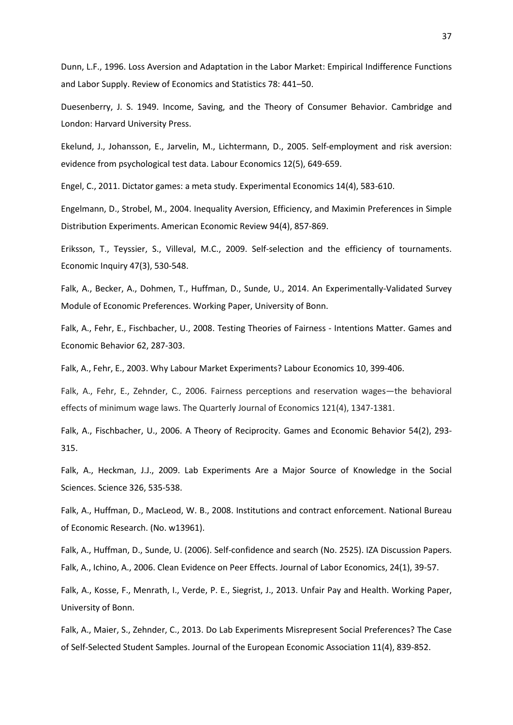Dunn, L.F., 1996. Loss Aversion and Adaptation in the Labor Market: Empirical Indifference Functions and Labor Supply. Review of Economics and Statistics 78: 441–50.

Duesenberry, J. S. 1949. Income, Saving, and the Theory of Consumer Behavior. Cambridge and London: Harvard University Press.

Ekelund, J., Johansson, E., Jarvelin, M., Lichtermann, D., 2005. Self-employment and risk aversion: evidence from psychological test data. Labour Economics 12(5), 649-659.

Engel, C., 2011. Dictator games: a meta study. Experimental Economics 14(4), 583-610.

Engelmann, D., Strobel, M., 2004. Inequality Aversion, Efficiency, and Maximin Preferences in Simple Distribution Experiments. American Economic Review 94(4), 857-869.

Eriksson, T., Teyssier, S., Villeval, M.C., 2009. Self-selection and the efficiency of tournaments. Economic Inquiry 47(3), 530-548.

Falk, A., Becker, A., Dohmen, T., Huffman, D., Sunde, U., 2014. An Experimentally-Validated Survey Module of Economic Preferences. Working Paper, University of Bonn.

Falk, A., Fehr, E., Fischbacher, U., 2008. Testing Theories of Fairness - Intentions Matter. Games and Economic Behavior 62, 287-303.

Falk, A., Fehr, E., 2003. Why Labour Market Experiments? Labour Economics 10, 399-406.

Falk, A., Fehr, E., Zehnder, C., 2006. Fairness perceptions and reservation wages—the behavioral effects of minimum wage laws. The Quarterly Journal of Economics 121(4), 1347-1381.

Falk, A., Fischbacher, U., 2006. A Theory of Reciprocity. Games and Economic Behavior 54(2), 293- 315.

Falk, A., Heckman, J.J., 2009. Lab Experiments Are a Major Source of Knowledge in the Social Sciences. Science 326, 535-538.

Falk, A., Huffman, D., MacLeod, W. B., 2008. Institutions and contract enforcement. National Bureau of Economic Research. (No. w13961).

Falk, A., Huffman, D., Sunde, U. (2006). Self-confidence and search (No. 2525). IZA Discussion Papers. Falk, A., Ichino, A., 2006. Clean Evidence on Peer Effects. Journal of Labor Economics, 24(1), 39-57.

Falk, A., Kosse, F., Menrath, I., Verde, P. E., Siegrist, J., 2013. Unfair Pay and Health. Working Paper, University of Bonn.

Falk, A., Maier, S., Zehnder, C., 2013. Do Lab Experiments Misrepresent Social Preferences? The Case of Self-Selected Student Samples. Journal of the European Economic Association 11(4), 839-852.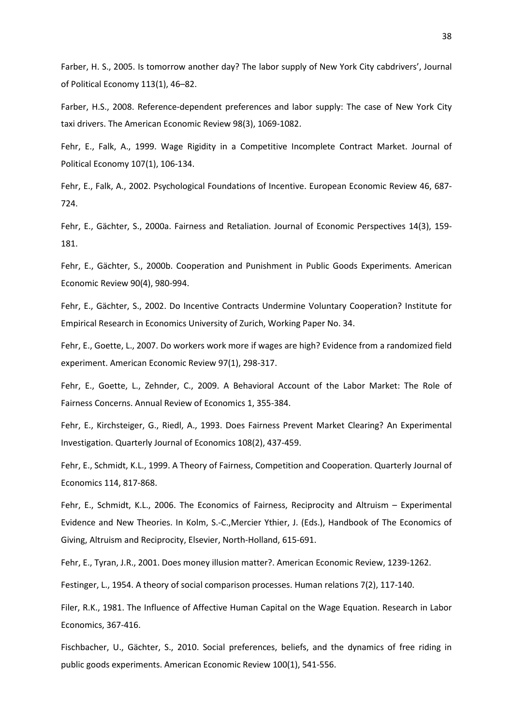Farber, H. S., 2005. Is tomorrow another day? The labor supply of New York City cabdrivers', Journal of Political Economy 113(1), 46–82.

Farber, H.S., 2008. Reference-dependent preferences and labor supply: The case of New York City taxi drivers. The American Economic Review 98(3), 1069-1082.

Fehr, E., Falk, A., 1999. Wage Rigidity in a Competitive Incomplete Contract Market. Journal of Political Economy 107(1), 106-134.

Fehr, E., Falk, A., 2002. Psychological Foundations of Incentive. European Economic Review 46, 687- 724.

Fehr, E., Gächter, S., 2000a. Fairness and Retaliation. Journal of Economic Perspectives 14(3), 159- 181.

Fehr, E., Gächter, S., 2000b. Cooperation and Punishment in Public Goods Experiments. American Economic Review 90(4), 980-994.

Fehr, E., Gächter, S., 2002. Do Incentive Contracts Undermine Voluntary Cooperation? Institute for Empirical Research in Economics University of Zurich, Working Paper No. 34.

Fehr, E., Goette, L., 2007. Do workers work more if wages are high? Evidence from a randomized field experiment. American Economic Review 97(1), 298-317.

Fehr, E., Goette, L., Zehnder, C., 2009. A Behavioral Account of the Labor Market: The Role of Fairness Concerns. Annual Review of Economics 1, 355-384.

Fehr, E., Kirchsteiger, G., Riedl, A., 1993. Does Fairness Prevent Market Clearing? An Experimental Investigation. Quarterly Journal of Economics 108(2), 437-459.

Fehr, E., Schmidt, K.L., 1999. A Theory of Fairness, Competition and Cooperation. Quarterly Journal of Economics 114, 817-868.

Fehr, E., Schmidt, K.L., 2006. The Economics of Fairness, Reciprocity and Altruism – Experimental Evidence and New Theories. In Kolm, S.-C.,Mercier Ythier, J. (Eds.), Handbook of The Economics of Giving, Altruism and Reciprocity, Elsevier, North-Holland, 615-691.

Fehr, E., Tyran, J.R., 2001. Does money illusion matter?. American Economic Review, 1239-1262.

Festinger, L., 1954. A theory of social comparison processes. Human relations 7(2), 117-140.

Filer, R.K., 1981. The Influence of Affective Human Capital on the Wage Equation. Research in Labor Economics, 367-416.

Fischbacher, U., Gächter, S., 2010. Social preferences, beliefs, and the dynamics of free riding in public goods experiments. American Economic Review 100(1), 541-556.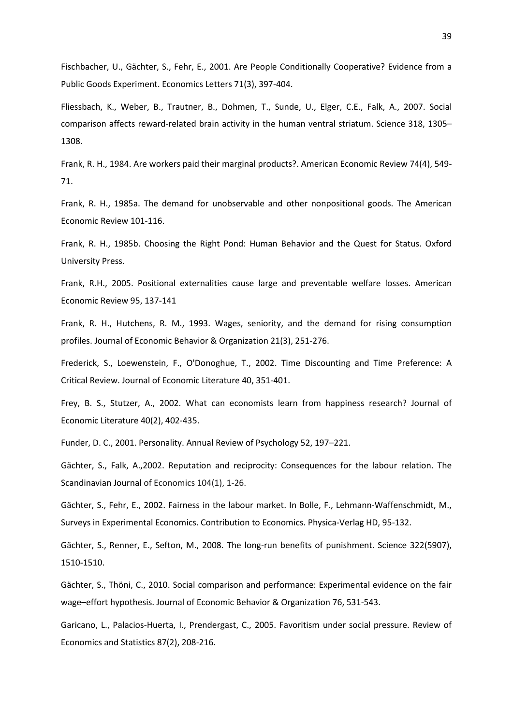Fischbacher, U., Gächter, S., Fehr, E., 2001. Are People Conditionally Cooperative? Evidence from a Public Goods Experiment. Economics Letters 71(3), 397-404.

Fliessbach, K., Weber, B., Trautner, B., Dohmen, T., Sunde, U., Elger, C.E., Falk, A., 2007. Social comparison affects reward-related brain activity in the human ventral striatum. Science 318, 1305– 1308.

Frank, R. H., 1984. Are workers paid their marginal products?. American Economic Review 74(4), 549- 71.

Frank, R. H., 1985a. The demand for unobservable and other nonpositional goods. The American Economic Review 101-116.

Frank, R. H., 1985b. Choosing the Right Pond: Human Behavior and the Quest for Status. Oxford University Press.

Frank, R.H., 2005. Positional externalities cause large and preventable welfare losses. American Economic Review 95, 137-141

Frank, R. H., Hutchens, R. M., 1993. Wages, seniority, and the demand for rising consumption profiles. Journal of Economic Behavior & Organization 21(3), 251-276.

Frederick, S., Loewenstein, F., O'Donoghue, T., 2002. Time Discounting and Time Preference: A Critical Review. Journal of Economic Literature 40, 351-401.

Frey, B. S., Stutzer, A., 2002. What can economists learn from happiness research? Journal of Economic Literature 40(2), 402-435.

Funder, D. C., 2001. Personality. Annual Review of Psychology 52, 197–221.

Gächter, S., Falk, A.,2002. Reputation and reciprocity: Consequences for the labour relation. The Scandinavian Journal of Economics 104(1), 1-26.

Gächter, S., Fehr, E., 2002. Fairness in the labour market. In Bolle, F., Lehmann-Waffenschmidt, M., Surveys in Experimental Economics. Contribution to Economics. Physica-Verlag HD, 95-132.

Gächter, S., Renner, E., Sefton, M., 2008. The long-run benefits of punishment. Science 322(5907), 1510-1510.

Gächter, S., Thöni, C., 2010. Social comparison and performance: Experimental evidence on the fair wage–effort hypothesis. Journal of Economic Behavior & Organization 76, 531-543.

Garicano, L., Palacios-Huerta, I., Prendergast, C., 2005. Favoritism under social pressure. Review of Economics and Statistics 87(2), 208-216.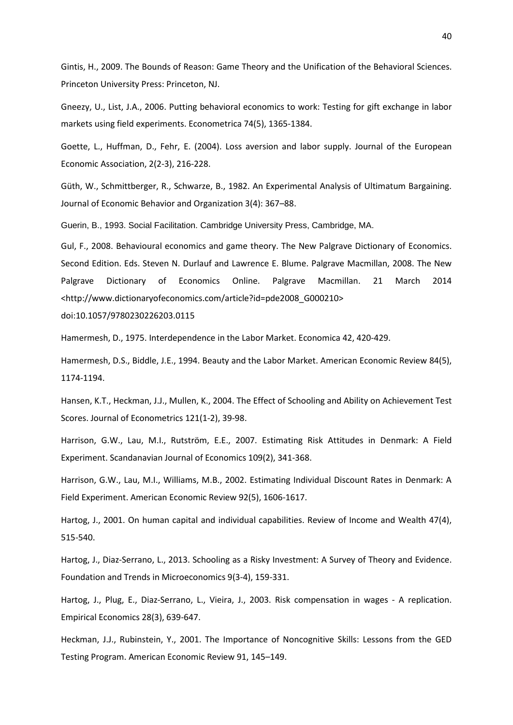Gintis, H., 2009. The Bounds of Reason: Game Theory and the Unification of the Behavioral Sciences. Princeton University Press: Princeton, NJ.

Gneezy, U., List, J.A., 2006. Putting behavioral economics to work: Testing for gift exchange in labor markets using field experiments. Econometrica 74(5), 1365-1384.

Goette, L., Huffman, D., Fehr, E. (2004). Loss aversion and labor supply. Journal of the European Economic Association, 2(2-3), 216-228.

Güth, W., Schmittberger, R., Schwarze, B., 1982. An Experimental Analysis of Ultimatum Bargaining. Journal of Economic Behavior and Organization 3(4): 367–88.

Guerin, B., 1993. Social Facilitation. Cambridge University Press, Cambridge, MA.

Gul, F., 2008. Behavioural economics and game theory. The New Palgrave Dictionary of Economics. Second Edition. Eds. Steven N. Durlauf and Lawrence E. Blume. Palgrave Macmillan, 2008. The New Palgrave Dictionary of Economics Online. Palgrave Macmillan. 21 March 2014 <http://www.dictionaryofeconomics.com/article?id=pde2008\_G000210>

doi:10.1057/9780230226203.0115

Hamermesh, D., 1975. Interdependence in the Labor Market. Economica 42, 420-429.

Hamermesh, D.S., Biddle, J.E., 1994. Beauty and the Labor Market. American Economic Review 84(5), 1174-1194.

Hansen, K.T., Heckman, J.J., Mullen, K., 2004. The Effect of Schooling and Ability on Achievement Test Scores. Journal of Econometrics 121(1-2), 39-98.

Harrison, G.W., Lau, M.I., Rutström, E.E., 2007. Estimating Risk Attitudes in Denmark: A Field Experiment. Scandanavian Journal of Economics 109(2), 341-368.

Harrison, G.W., Lau, M.I., Williams, M.B., 2002. Estimating Individual Discount Rates in Denmark: A Field Experiment. American Economic Review 92(5), 1606-1617.

Hartog, J., 2001. On human capital and individual capabilities. Review of Income and Wealth 47(4), 515-540.

Hartog, J., Diaz-Serrano, L., 2013. Schooling as a Risky Investment: A Survey of Theory and Evidence. Foundation and Trends in Microeconomics 9(3-4), 159-331.

Hartog, J., Plug, E., Diaz-Serrano, L., Vieira, J., 2003. Risk compensation in wages - A replication. Empirical Economics 28(3), 639-647.

Heckman, J.J., Rubinstein, Y., 2001. The Importance of Noncognitive Skills: Lessons from the GED Testing Program. American Economic Review 91, 145–149.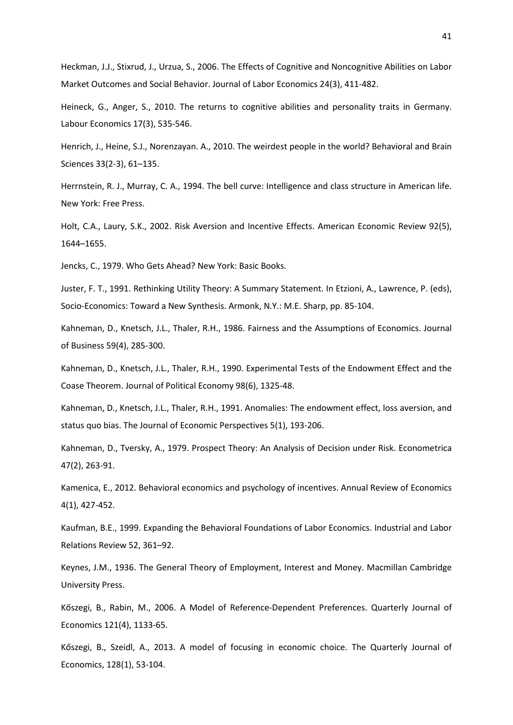Heckman, J.J., Stixrud, J., Urzua, S., 2006. The Effects of Cognitive and Noncognitive Abilities on Labor Market Outcomes and Social Behavior. Journal of Labor Economics 24(3), 411-482.

Heineck, G., Anger, S., 2010. The returns to cognitive abilities and personality traits in Germany. Labour Economics 17(3), 535-546.

Henrich, J., Heine, S.J., Norenzayan. A., 2010. The weirdest people in the world? Behavioral and Brain Sciences 33(2-3), 61–135.

Herrnstein, R. J., Murray, C. A., 1994. The bell curve: Intelligence and class structure in American life. New York: Free Press.

Holt, C.A., Laury, S.K., 2002. Risk Aversion and Incentive Effects. American Economic Review 92(5), 1644–1655.

Jencks, C., 1979. Who Gets Ahead? New York: Basic Books.

Juster, F. T., 1991. Rethinking Utility Theory: A Summary Statement. In Etzioni, A., Lawrence, P. (eds), Socio-Economics: Toward a New Synthesis. Armonk, N.Y.: M.E. Sharp, pp. 85-104.

Kahneman, D., Knetsch, J.L., Thaler, R.H., 1986. Fairness and the Assumptions of Economics. Journal of Business 59(4), 285-300.

Kahneman, D., Knetsch, J.L., Thaler, R.H., 1990. Experimental Tests of the Endowment Effect and the Coase Theorem. Journal of Political Economy 98(6), 1325-48.

Kahneman, D., Knetsch, J.L., Thaler, R.H., 1991. Anomalies: The endowment effect, loss aversion, and status quo bias. The Journal of Economic Perspectives 5(1), 193-206.

Kahneman, D., Tversky, A., 1979. Prospect Theory: An Analysis of Decision under Risk. Econometrica 47(2), 263-91.

Kamenica, E., 2012. Behavioral economics and psychology of incentives. Annual Review of Economics 4(1), 427-452.

Kaufman, B.E., 1999. Expanding the Behavioral Foundations of Labor Economics. Industrial and Labor Relations Review 52, 361–92.

Keynes, J.M., 1936. The General Theory of Employment, Interest and Money. Macmillan Cambridge University Press.

Kőszegi, B., Rabin, M., 2006. A Model of Reference-Dependent Preferences. Quarterly Journal of Economics 121(4), 1133-65.

Kőszegi, B., Szeidl, A., 2013. A model of focusing in economic choice. The Quarterly Journal of Economics, 128(1), 53-104.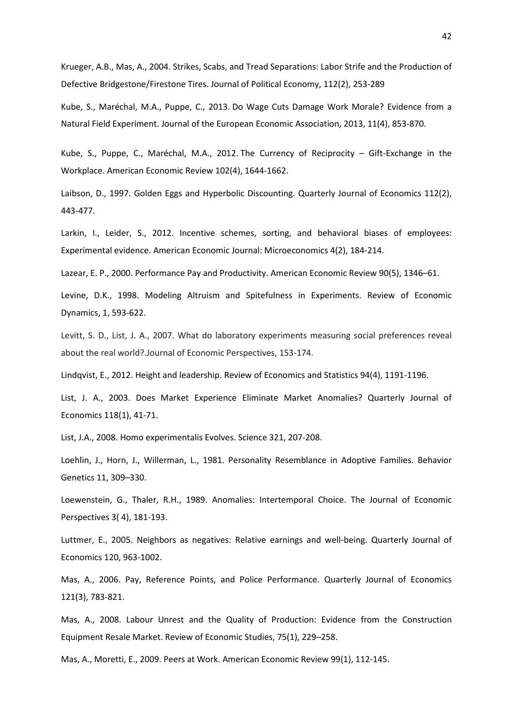Krueger, A.B., Mas, A., 2004. Strikes, Scabs, and Tread Separations: Labor Strife and the Production of Defective Bridgestone/Firestone Tires. Journal of Political Economy, 112(2), 253-289

Kube, S., Maréchal, M.A., Puppe, C., 2013. Do Wage Cuts Damage Work Morale? Evidence from a Natural Field Experiment. Journal of the European Economic Association, 2013, 11(4), 853-870.

Kube, S., Puppe, C., Maréchal, M.A., 2012. The Currency of Reciprocity – Gift-Exchange in the Workplace. American Economic Review 102(4), 1644-1662.

Laibson, D., 1997. Golden Eggs and Hyperbolic Discounting. Quarterly Journal of Economics 112(2), 443-477.

Larkin, I., Leider, S., 2012. Incentive schemes, sorting, and behavioral biases of employees: Experimental evidence. American Economic Journal: Microeconomics 4(2), 184-214.

Lazear, E. P., 2000. Performance Pay and Productivity. American Economic Review 90(5), 1346–61.

Levine, D.K., 1998. Modeling Altruism and Spitefulness in Experiments. Review of Economic Dynamics, 1, 593-622.

Levitt, S. D., List, J. A., 2007. What do laboratory experiments measuring social preferences reveal about the real world?.Journal of Economic Perspectives, 153-174.

Lindqvist, E., 2012. Height and leadership. Review of Economics and Statistics 94(4), 1191-1196.

List, J. A., 2003. Does Market Experience Eliminate Market Anomalies? Quarterly Journal of Economics 118(1), 41-71.

List, J.A., 2008. Homo experimentalis Evolves. Science 321, 207-208.

Loehlin, J., Horn, J., Willerman, L., 1981. Personality Resemblance in Adoptive Families. Behavior Genetics 11, 309–330.

Loewenstein, G., Thaler, R.H., 1989. Anomalies: Intertemporal Choice. The Journal of Economic Perspectives 3( 4), 181-193.

Luttmer, E., 2005. Neighbors as negatives: Relative earnings and well-being. Quarterly Journal of Economics 120, 963-1002.

Mas, A., 2006. Pay, Reference Points, and Police Performance. Quarterly Journal of Economics 121(3), 783-821.

Mas, A., 2008. Labour Unrest and the Quality of Production: Evidence from the Construction Equipment Resale Market. Review of Economic Studies, 75(1), 229–258.

Mas, A., Moretti, E., 2009. Peers at Work. American Economic Review 99(1), 112-145.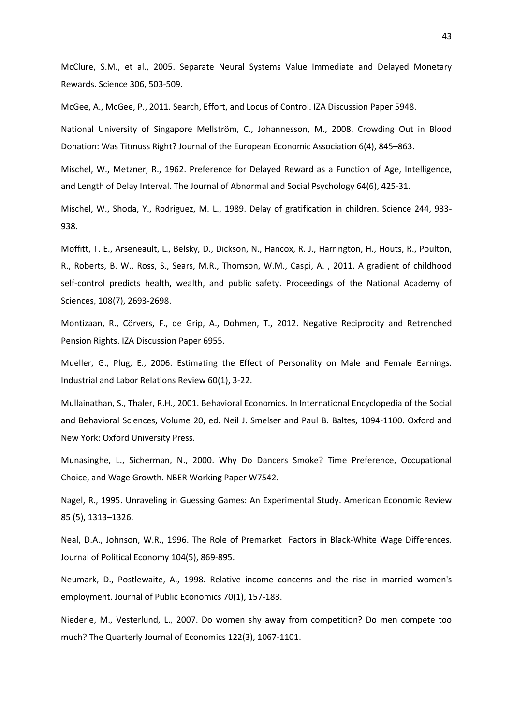McClure, S.M., et al., 2005. Separate Neural Systems Value Immediate and Delayed Monetary Rewards. Science 306, 503-509.

McGee, A., McGee, P., 2011. Search, Effort, and Locus of Control. IZA Discussion Paper 5948.

National University of Singapore Mellström, C., Johannesson, M., 2008. Crowding Out in Blood Donation: Was Titmuss Right? Journal of the European Economic Association 6(4), 845–863.

Mischel, W., Metzner, R., 1962. Preference for Delayed Reward as a Function of Age, Intelligence, and Length of Delay Interval. The Journal of Abnormal and Social Psychology 64(6), 425-31.

Mischel, W., Shoda, Y., Rodriguez, M. L., 1989. Delay of gratification in children. Science 244, 933- 938.

Moffitt, T. E., Arseneault, L., Belsky, D., Dickson, N., Hancox, R. J., Harrington, H., Houts, R., Poulton, R., Roberts, B. W., Ross, S., Sears, M.R., Thomson, W.M., Caspi, A. , 2011. A gradient of childhood self-control predicts health, wealth, and public safety. Proceedings of the National Academy of Sciences, 108(7), 2693-2698.

Montizaan, R., Cörvers, F., de Grip, A., Dohmen, T., 2012. Negative Reciprocity and Retrenched Pension Rights. IZA Discussion Paper 6955.

Mueller, G., Plug, E., 2006. Estimating the Effect of Personality on Male and Female Earnings. Industrial and Labor Relations Review 60(1), 3-22.

Mullainathan, S., Thaler, R.H., 2001. Behavioral Economics. In International Encyclopedia of the Social and Behavioral Sciences, Volume 20, ed. Neil J. Smelser and Paul B. Baltes, 1094-1100. Oxford and New York: Oxford University Press.

Munasinghe, L., Sicherman, N., 2000. Why Do Dancers Smoke? Time Preference, Occupational Choice, and Wage Growth. NBER Working Paper W7542.

Nagel, R., 1995. Unraveling in Guessing Games: An Experimental Study. American Economic Review 85 (5), 1313–1326.

Neal, D.A., Johnson, W.R., 1996. The Role of Premarket Factors in Black-White Wage Differences. Journal of Political Economy 104(5), 869-895.

Neumark, D., Postlewaite, A., 1998. Relative income concerns and the rise in married women's employment. Journal of Public Economics 70(1), 157-183.

Niederle, M., Vesterlund, L., 2007. Do women shy away from competition? Do men compete too much? The Quarterly Journal of Economics 122(3), 1067-1101.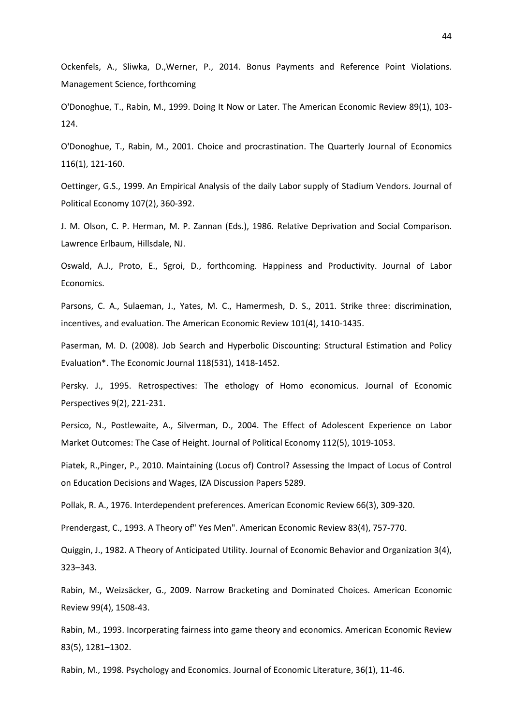Ockenfels, A., Sliwka, D.,Werner, P., 2014. Bonus Payments and Reference Point Violations. Management Science, forthcoming

O'Donoghue, T., Rabin, M., 1999. Doing It Now or Later. The American Economic Review 89(1), 103- 124.

O'Donoghue, T., Rabin, M., 2001. Choice and procrastination. The Quarterly Journal of Economics 116(1), 121-160.

Oettinger, G.S., 1999. An Empirical Analysis of the daily Labor supply of Stadium Vendors. Journal of Political Economy 107(2), 360-392.

J. M. Olson, C. P. Herman, M. P. Zannan (Eds.), 1986. Relative Deprivation and Social Comparison. Lawrence Erlbaum, Hillsdale, NJ.

Oswald, A.J., Proto, E., Sgroi, D., forthcoming. Happiness and Productivity. Journal of Labor Economics.

Parsons, C. A., Sulaeman, J., Yates, M. C., Hamermesh, D. S., 2011. Strike three: discrimination, incentives, and evaluation. The American Economic Review 101(4), 1410-1435.

Paserman, M. D. (2008). Job Search and Hyperbolic Discounting: Structural Estimation and Policy Evaluation\*. The Economic Journal 118(531), 1418-1452.

Persky. J., 1995. Retrospectives: The ethology of Homo economicus. Journal of Economic Perspectives 9(2), 221-231.

Persico, N., Postlewaite, A., Silverman, D., 2004. The Effect of Adolescent Experience on Labor Market Outcomes: The Case of Height. Journal of Political Economy 112(5), 1019-1053.

Piatek, R.,Pinger, P., 2010. Maintaining (Locus of) Control? Assessing the Impact of Locus of Control on Education Decisions and Wages, IZA Discussion Papers 5289.

Pollak, R. A., 1976. Interdependent preferences. American Economic Review 66(3), 309-320.

Prendergast, C., 1993. A Theory of" Yes Men". American Economic Review 83(4), 757-770.

Quiggin, J., 1982. A Theory of Anticipated Utility. Journal of Economic Behavior and Organization 3(4), 323–343.

Rabin, M., Weizsäcker, G., 2009. Narrow Bracketing and Dominated Choices. American Economic Review 99(4), 1508-43.

Rabin, M., 1993. Incorperating fairness into game theory and economics. American Economic Review 83(5), 1281–1302.

Rabin, M., 1998. Psychology and Economics. Journal of Economic Literature, 36(1), 11-46.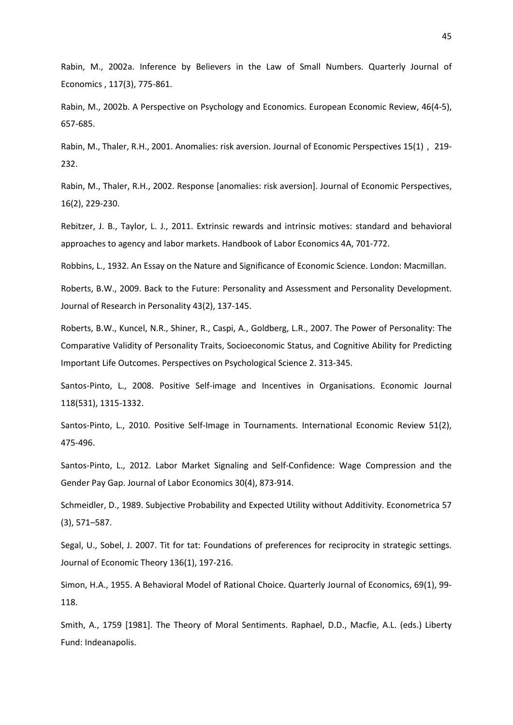Rabin, M., 2002a. Inference by Believers in the Law of Small Numbers. Quarterly Journal of Economics , 117(3), 775-861.

Rabin, M., 2002b. A Perspective on Psychology and Economics. European Economic Review, 46(4-5), 657-685.

Rabin, M., Thaler, R.H., 2001. Anomalies: risk aversion. Journal of Economic Perspectives 15(1) , 219- 232.

Rabin, M., Thaler, R.H., 2002. Response [anomalies: risk aversion]. Journal of Economic Perspectives, 16(2), 229-230.

Rebitzer, J. B., Taylor, L. J., 2011. Extrinsic rewards and intrinsic motives: standard and behavioral approaches to agency and labor markets. Handbook of Labor Economics 4A, 701-772.

Robbins, L., 1932. An Essay on the Nature and Significance of Economic Science. London: Macmillan.

Roberts, B.W., 2009. Back to the Future: Personality and Assessment and Personality Development. Journal of Research in Personality 43(2), 137-145.

Roberts, B.W., Kuncel, N.R., Shiner, R., Caspi, A., Goldberg, L.R., 2007. The Power of Personality: The Comparative Validity of Personality Traits, Socioeconomic Status, and Cognitive Ability for Predicting Important Life Outcomes. Perspectives on Psychological Science 2. 313-345.

Santos-Pinto, L., 2008. Positive Self-image and Incentives in Organisations. Economic Journal 118(531), 1315-1332.

Santos-Pinto, L., 2010. Positive Self-Image in Tournaments. International Economic Review 51(2), 475-496.

Santos-Pinto, L., 2012. Labor Market Signaling and Self-Confidence: Wage Compression and the Gender Pay Gap. Journal of Labor Economics 30(4), 873-914.

Schmeidler, D., 1989. Subjective Probability and Expected Utility without Additivity. Econometrica 57 (3), 571–587.

Segal, U., Sobel, J. 2007. Tit for tat: Foundations of preferences for reciprocity in strategic settings. Journal of Economic Theory 136(1), 197-216.

Simon, H.A., 1955. A Behavioral Model of Rational Choice. Quarterly Journal of Economics, 69(1), 99- 118.

Smith, A., 1759 [1981]. The Theory of Moral Sentiments. Raphael, D.D., Macfie, A.L. (eds.) Liberty Fund: Indeanapolis.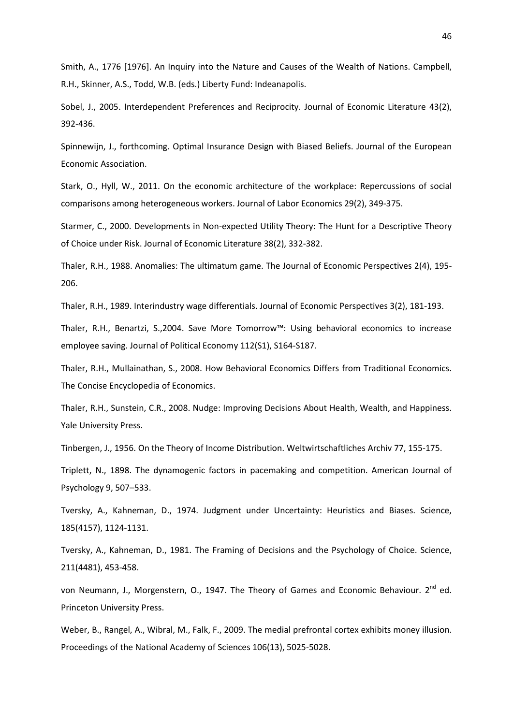Smith, A., 1776 [1976]. An Inquiry into the Nature and Causes of the Wealth of Nations. Campbell, R.H., Skinner, A.S., Todd, W.B. (eds.) Liberty Fund: Indeanapolis.

Sobel, J., 2005. Interdependent Preferences and Reciprocity. Journal of Economic Literature 43(2), 392-436.

Spinnewijn, J., forthcoming. Optimal Insurance Design with Biased Beliefs. Journal of the European Economic Association.

Stark, O., Hyll, W., 2011. On the economic architecture of the workplace: Repercussions of social comparisons among heterogeneous workers. Journal of Labor Economics 29(2), 349-375.

Starmer, C., 2000. Developments in Non-expected Utility Theory: The Hunt for a Descriptive Theory of Choice under Risk. Journal of Economic Literature 38(2), 332-382.

Thaler, R.H., 1988. Anomalies: The ultimatum game. The Journal of Economic Perspectives 2(4), 195- 206.

Thaler, R.H., 1989. Interindustry wage differentials. Journal of Economic Perspectives 3(2), 181-193.

Thaler, R.H., Benartzi, S.,2004. Save More Tomorrow™: Using behavioral economics to increase employee saving. Journal of Political Economy 112(S1), S164-S187.

Thaler, R.H., Mullainathan, S., 2008. How Behavioral Economics Differs from Traditional Economics. The Concise Encyclopedia of Economics.

Thaler, R.H., Sunstein, C.R., 2008. Nudge: Improving Decisions About Health, Wealth, and Happiness. Yale University Press.

Tinbergen, J., 1956. On the Theory of Income Distribution. Weltwirtschaftliches Archiv 77, 155-175.

Triplett, N., 1898. The dynamogenic factors in pacemaking and competition. American Journal of Psychology 9, 507–533.

Tversky, A., Kahneman, D., 1974. Judgment under Uncertainty: Heuristics and Biases. Science, 185(4157), 1124-1131.

Tversky, A., Kahneman, D., 1981. The Framing of Decisions and the Psychology of Choice. Science, 211(4481), 453-458.

von Neumann, J., Morgenstern, O., 1947. The Theory of Games and Economic Behaviour. 2<sup>nd</sup> ed. Princeton University Press.

Weber, B., Rangel, A., Wibral, M., Falk, F., 2009. The medial prefrontal cortex exhibits money illusion. Proceedings of the National Academy of Sciences 106(13), 5025-5028.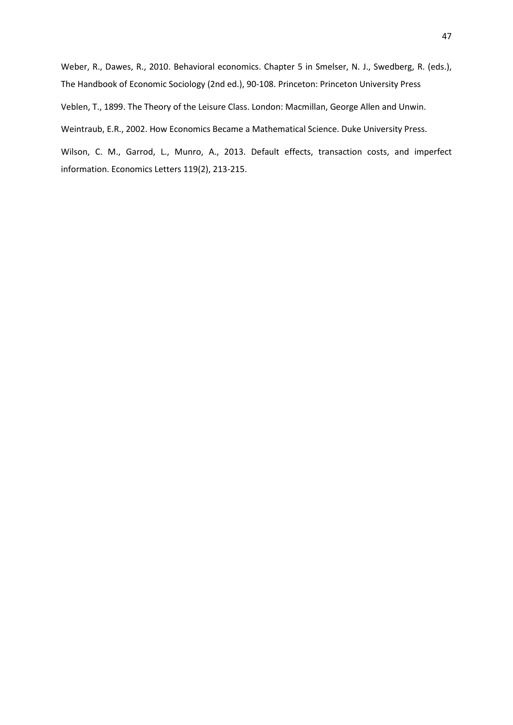Weber, R., Dawes, R., 2010. Behavioral economics. Chapter 5 in Smelser, N. J., Swedberg, R. (eds.), The Handbook of Economic Sociology (2nd ed.), 90-108. Princeton: Princeton University Press

Veblen, T., 1899. The Theory of the Leisure Class. London: Macmillan, George Allen and Unwin.

Weintraub, E.R., 2002. How Economics Became a Mathematical Science. Duke University Press.

Wilson, C. M., Garrod, L., Munro, A., 2013. Default effects, transaction costs, and imperfect information. Economics Letters 119(2), 213-215.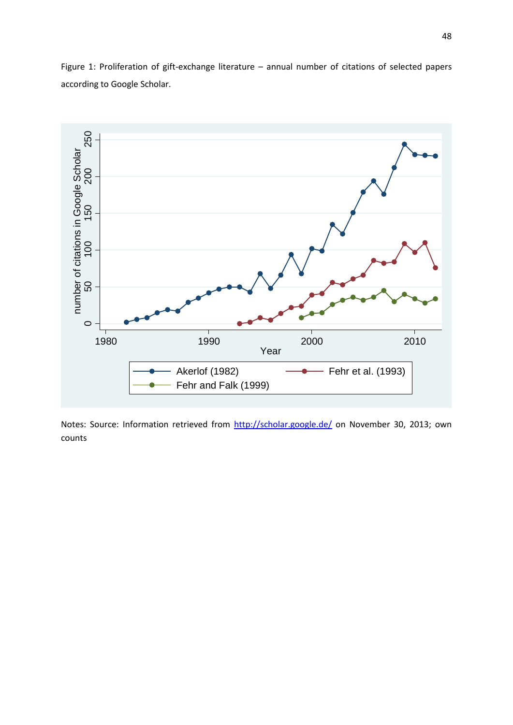

Figure 1: Proliferation of gift-exchange literature – annual number of citations of selected papers according to Google Scholar.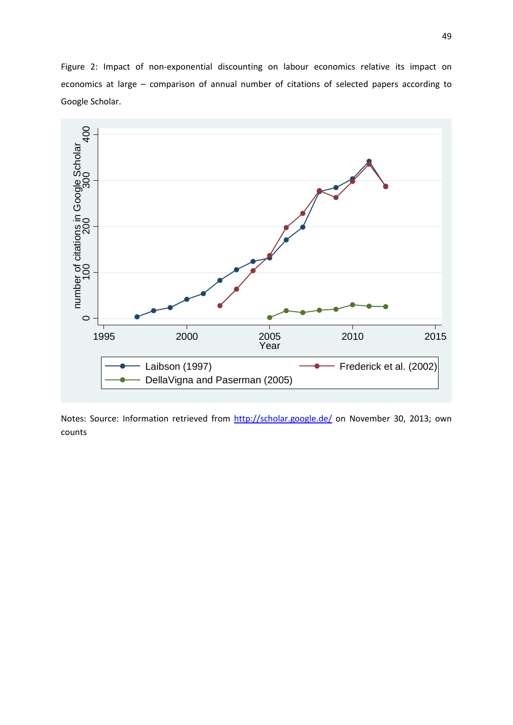Figure 2: Impact of non-exponential discounting on labour economics relative its impact on economics at large – comparison of annual number of citations of selected papers according to Google Scholar.

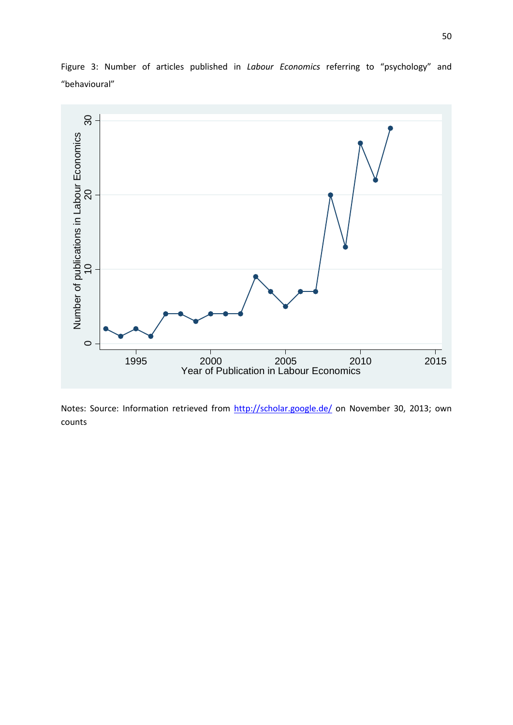

Figure 3: Number of articles published in *Labour Economics* referring to "psychology" and "behavioural"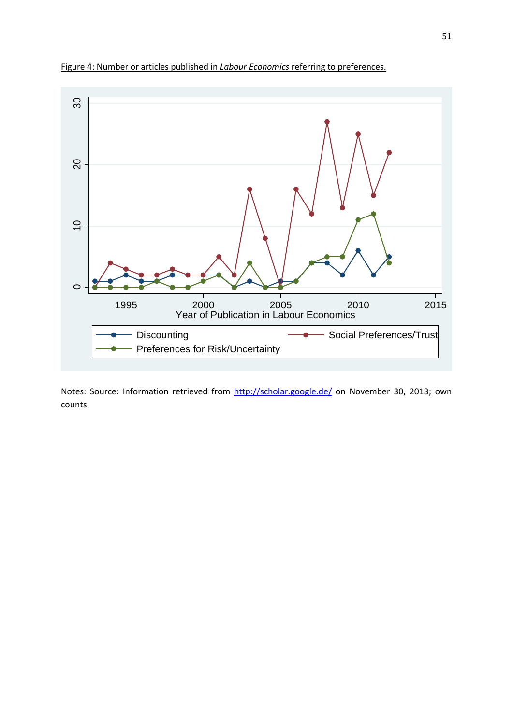

Figure 4: Number or articles published in *Labour Economics* referring to preferences.